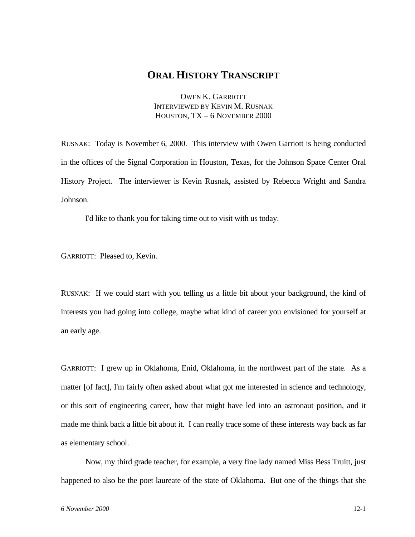## **ORAL HISTORY TRANSCRIPT**

OWEN K. GARRIOTT INTERVIEWED BY KEVIN M. RUSNAK HOUSTON, TX – 6 NOVEMBER 2000

RUSNAK: Today is November 6, 2000. This interview with Owen Garriott is being conducted in the offices of the Signal Corporation in Houston, Texas, for the Johnson Space Center Oral History Project. The interviewer is Kevin Rusnak, assisted by Rebecca Wright and Sandra Johnson.

I'd like to thank you for taking time out to visit with us today.

GARRIOTT: Pleased to, Kevin.

RUSNAK: If we could start with you telling us a little bit about your background, the kind of interests you had going into college, maybe what kind of career you envisioned for yourself at an early age.

GARRIOTT: I grew up in Oklahoma, Enid, Oklahoma, in the northwest part of the state. As a matter [of fact], I'm fairly often asked about what got me interested in science and technology, or this sort of engineering career, how that might have led into an astronaut position, and it made me think back a little bit about it. I can really trace some of these interests way back as far as elementary school.

Now, my third grade teacher, for example, a very fine lady named Miss Bess Truitt, just happened to also be the poet laureate of the state of Oklahoma. But one of the things that she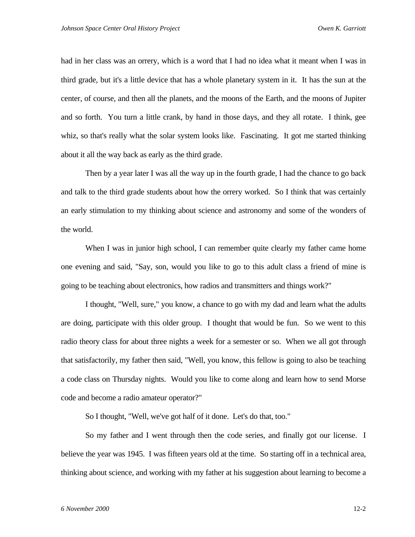had in her class was an orrery, which is a word that I had no idea what it meant when I was in third grade, but it's a little device that has a whole planetary system in it. It has the sun at the center, of course, and then all the planets, and the moons of the Earth, and the moons of Jupiter and so forth. You turn a little crank, by hand in those days, and they all rotate. I think, gee whiz, so that's really what the solar system looks like. Fascinating. It got me started thinking about it all the way back as early as the third grade.

Then by a year later I was all the way up in the fourth grade, I had the chance to go back and talk to the third grade students about how the orrery worked. So I think that was certainly an early stimulation to my thinking about science and astronomy and some of the wonders of the world.

When I was in junior high school, I can remember quite clearly my father came home one evening and said, "Say, son, would you like to go to this adult class a friend of mine is going to be teaching about electronics, how radios and transmitters and things work?"

I thought, "Well, sure," you know, a chance to go with my dad and learn what the adults are doing, participate with this older group. I thought that would be fun. So we went to this radio theory class for about three nights a week for a semester or so. When we all got through that satisfactorily, my father then said, "Well, you know, this fellow is going to also be teaching a code class on Thursday nights. Would you like to come along and learn how to send Morse code and become a radio amateur operator?"

So I thought, "Well, we've got half of it done. Let's do that, too."

So my father and I went through then the code series, and finally got our license. I believe the year was 1945. I was fifteen years old at the time. So starting off in a technical area, thinking about science, and working with my father at his suggestion about learning to become a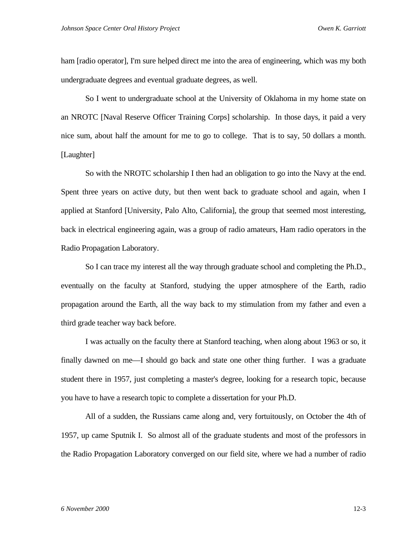ham [radio operator], I'm sure helped direct me into the area of engineering, which was my both undergraduate degrees and eventual graduate degrees, as well.

So I went to undergraduate school at the University of Oklahoma in my home state on an NROTC [Naval Reserve Officer Training Corps] scholarship. In those days, it paid a very nice sum, about half the amount for me to go to college. That is to say, 50 dollars a month. [Laughter]

So with the NROTC scholarship I then had an obligation to go into the Navy at the end. Spent three years on active duty, but then went back to graduate school and again, when I applied at Stanford [University, Palo Alto, California], the group that seemed most interesting, back in electrical engineering again, was a group of radio amateurs, Ham radio operators in the Radio Propagation Laboratory.

So I can trace my interest all the way through graduate school and completing the Ph.D., eventually on the faculty at Stanford, studying the upper atmosphere of the Earth, radio propagation around the Earth, all the way back to my stimulation from my father and even a third grade teacher way back before.

I was actually on the faculty there at Stanford teaching, when along about 1963 or so, it finally dawned on me—I should go back and state one other thing further. I was a graduate student there in 1957, just completing a master's degree, looking for a research topic, because you have to have a research topic to complete a dissertation for your Ph.D.

All of a sudden, the Russians came along and, very fortuitously, on October the 4th of 1957, up came Sputnik I. So almost all of the graduate students and most of the professors in the Radio Propagation Laboratory converged on our field site, where we had a number of radio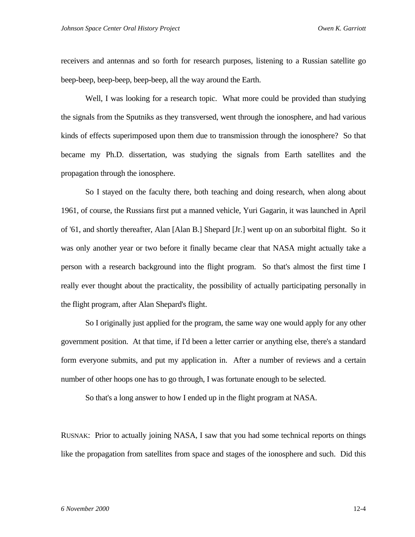receivers and antennas and so forth for research purposes, listening to a Russian satellite go beep-beep, beep-beep, beep-beep, all the way around the Earth.

Well, I was looking for a research topic. What more could be provided than studying the signals from the Sputniks as they transversed, went through the ionosphere, and had various kinds of effects superimposed upon them due to transmission through the ionosphere? So that became my Ph.D. dissertation, was studying the signals from Earth satellites and the propagation through the ionosphere.

So I stayed on the faculty there, both teaching and doing research, when along about 1961, of course, the Russians first put a manned vehicle, Yuri Gagarin, it was launched in April of '61, and shortly thereafter, Alan [Alan B.] Shepard [Jr.] went up on an suborbital flight. So it was only another year or two before it finally became clear that NASA might actually take a person with a research background into the flight program. So that's almost the first time I really ever thought about the practicality, the possibility of actually participating personally in the flight program, after Alan Shepard's flight.

So I originally just applied for the program, the same way one would apply for any other government position. At that time, if I'd been a letter carrier or anything else, there's a standard form everyone submits, and put my application in. After a number of reviews and a certain number of other hoops one has to go through, I was fortunate enough to be selected.

So that's a long answer to how I ended up in the flight program at NASA.

RUSNAK: Prior to actually joining NASA, I saw that you had some technical reports on things like the propagation from satellites from space and stages of the ionosphere and such. Did this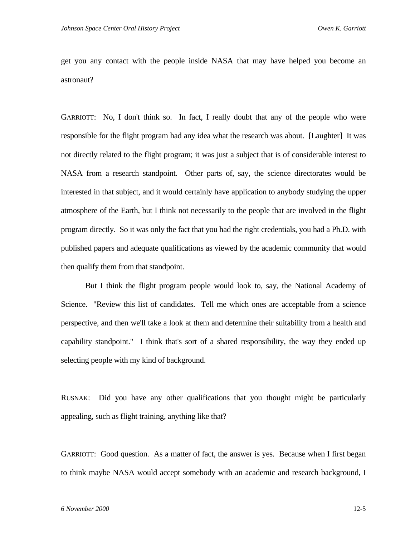get you any contact with the people inside NASA that may have helped you become an astronaut?

GARRIOTT: No, I don't think so. In fact, I really doubt that any of the people who were responsible for the flight program had any idea what the research was about. [Laughter] It was not directly related to the flight program; it was just a subject that is of considerable interest to NASA from a research standpoint. Other parts of, say, the science directorates would be interested in that subject, and it would certainly have application to anybody studying the upper atmosphere of the Earth, but I think not necessarily to the people that are involved in the flight program directly. So it was only the fact that you had the right credentials, you had a Ph.D. with published papers and adequate qualifications as viewed by the academic community that would then qualify them from that standpoint.

But I think the flight program people would look to, say, the National Academy of Science. "Review this list of candidates. Tell me which ones are acceptable from a science perspective, and then we'll take a look at them and determine their suitability from a health and capability standpoint." I think that's sort of a shared responsibility, the way they ended up selecting people with my kind of background.

RUSNAK: Did you have any other qualifications that you thought might be particularly appealing, such as flight training, anything like that?

GARRIOTT: Good question. As a matter of fact, the answer is yes. Because when I first began to think maybe NASA would accept somebody with an academic and research background, I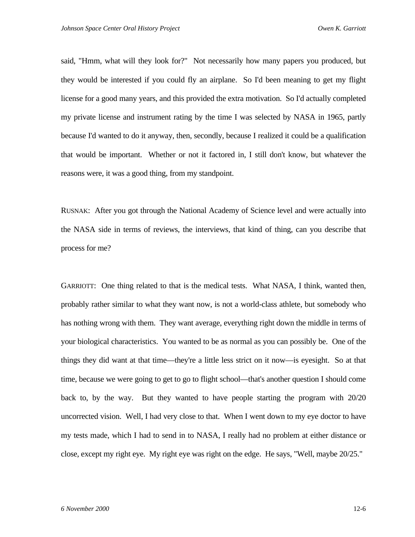said, "Hmm, what will they look for?" Not necessarily how many papers you produced, but they would be interested if you could fly an airplane. So I'd been meaning to get my flight license for a good many years, and this provided the extra motivation. So I'd actually completed my private license and instrument rating by the time I was selected by NASA in 1965, partly because I'd wanted to do it anyway, then, secondly, because I realized it could be a qualification that would be important. Whether or not it factored in, I still don't know, but whatever the reasons were, it was a good thing, from my standpoint.

RUSNAK: After you got through the National Academy of Science level and were actually into the NASA side in terms of reviews, the interviews, that kind of thing, can you describe that process for me?

GARRIOTT: One thing related to that is the medical tests. What NASA, I think, wanted then, probably rather similar to what they want now, is not a world-class athlete, but somebody who has nothing wrong with them. They want average, everything right down the middle in terms of your biological characteristics. You wanted to be as normal as you can possibly be. One of the things they did want at that time—they're a little less strict on it now—is eyesight. So at that time, because we were going to get to go to flight school—that's another question I should come back to, by the way. But they wanted to have people starting the program with 20/20 uncorrected vision. Well, I had very close to that. When I went down to my eye doctor to have my tests made, which I had to send in to NASA, I really had no problem at either distance or close, except my right eye. My right eye was right on the edge. He says, "Well, maybe 20/25."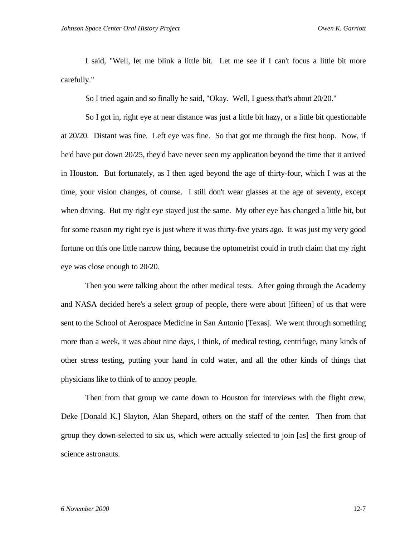I said, "Well, let me blink a little bit. Let me see if I can't focus a little bit more carefully."

So I tried again and so finally he said, "Okay. Well, I guess that's about 20/20."

So I got in, right eye at near distance was just a little bit hazy, or a little bit questionable at 20/20. Distant was fine. Left eye was fine. So that got me through the first hoop. Now, if he'd have put down 20/25, they'd have never seen my application beyond the time that it arrived in Houston. But fortunately, as I then aged beyond the age of thirty-four, which I was at the time, your vision changes, of course. I still don't wear glasses at the age of seventy, except when driving. But my right eye stayed just the same. My other eye has changed a little bit, but for some reason my right eye is just where it was thirty-five years ago. It was just my very good fortune on this one little narrow thing, because the optometrist could in truth claim that my right eye was close enough to 20/20.

Then you were talking about the other medical tests. After going through the Academy and NASA decided here's a select group of people, there were about [fifteen] of us that were sent to the School of Aerospace Medicine in San Antonio [Texas]. We went through something more than a week, it was about nine days, I think, of medical testing, centrifuge, many kinds of other stress testing, putting your hand in cold water, and all the other kinds of things that physicians like to think of to annoy people.

Then from that group we came down to Houston for interviews with the flight crew, Deke [Donald K.] Slayton, Alan Shepard, others on the staff of the center. Then from that group they down-selected to six us, which were actually selected to join [as] the first group of science astronauts.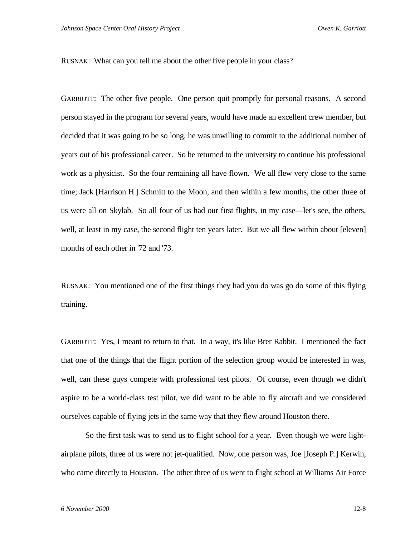RUSNAK: What can you tell me about the other five people in your class?

GARRIOTT: The other five people. One person quit promptly for personal reasons. A second person stayed in the program for several years, would have made an excellent crew member, but decided that it was going to be so long, he was unwilling to commit to the additional number of years out of his professional career. So he returned to the university to continue his professional work as a physicist. So the four remaining all have flown. We all flew very close to the same time; Jack [Harrison H.] Schmitt to the Moon, and then within a few months, the other three of us were all on Skylab. So all four of us had our first flights, in my case—let's see, the others, well, at least in my case, the second flight ten years later. But we all flew within about [eleven] months of each other in '72 and '73.

RUSNAK: You mentioned one of the first things they had you do was go do some of this flying training.

GARRIOTT: Yes, I meant to return to that. In a way, it's like Brer Rabbit. I mentioned the fact that one of the things that the flight portion of the selection group would be interested in was, well, can these guys compete with professional test pilots. Of course, even though we didn't aspire to be a world-class test pilot, we did want to be able to fly aircraft and we considered ourselves capable of flying jets in the same way that they flew around Houston there.

So the first task was to send us to flight school for a year. Even though we were lightairplane pilots, three of us were not jet-qualified. Now, one person was, Joe [Joseph P.] Kerwin, who came directly to Houston. The other three of us went to flight school at Williams Air Force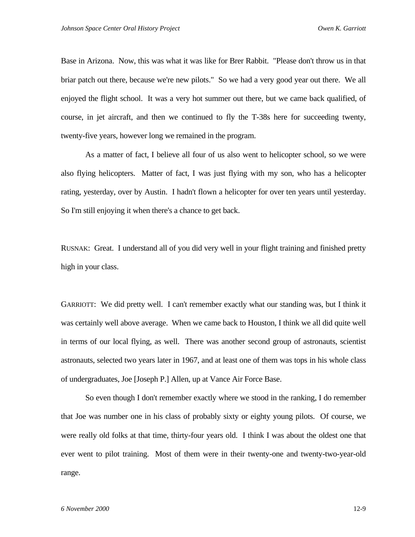Base in Arizona. Now, this was what it was like for Brer Rabbit. "Please don't throw us in that briar patch out there, because we're new pilots." So we had a very good year out there. We all enjoyed the flight school. It was a very hot summer out there, but we came back qualified, of course, in jet aircraft, and then we continued to fly the T-38s here for succeeding twenty, twenty-five years, however long we remained in the program.

As a matter of fact, I believe all four of us also went to helicopter school, so we were also flying helicopters. Matter of fact, I was just flying with my son, who has a helicopter rating, yesterday, over by Austin. I hadn't flown a helicopter for over ten years until yesterday. So I'm still enjoying it when there's a chance to get back.

RUSNAK: Great. I understand all of you did very well in your flight training and finished pretty high in your class.

GARRIOTT: We did pretty well. I can't remember exactly what our standing was, but I think it was certainly well above average. When we came back to Houston, I think we all did quite well in terms of our local flying, as well. There was another second group of astronauts, scientist astronauts, selected two years later in 1967, and at least one of them was tops in his whole class of undergraduates, Joe [Joseph P.] Allen, up at Vance Air Force Base.

So even though I don't remember exactly where we stood in the ranking, I do remember that Joe was number one in his class of probably sixty or eighty young pilots. Of course, we were really old folks at that time, thirty-four years old. I think I was about the oldest one that ever went to pilot training. Most of them were in their twenty-one and twenty-two-year-old range.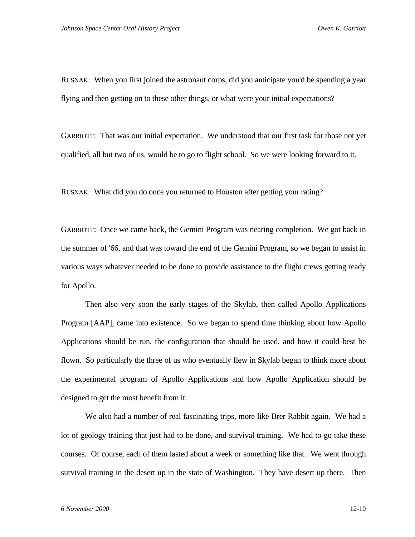RUSNAK: When you first joined the astronaut corps, did you anticipate you'd be spending a year flying and then getting on to these other things, or what were your initial expectations?

GARRIOTT: That was our initial expectation. We understood that our first task for those not yet qualified, all but two of us, would be to go to flight school. So we were looking forward to it.

RUSNAK: What did you do once you returned to Houston after getting your rating?

GARRIOTT: Once we came back, the Gemini Program was nearing completion. We got back in the summer of '66, and that was toward the end of the Gemini Program, so we began to assist in various ways whatever needed to be done to provide assistance to the flight crews getting ready for Apollo.

Then also very soon the early stages of the Skylab, then called Apollo Applications Program [AAP], came into existence. So we began to spend time thinking about how Apollo Applications should be run, the configuration that should be used, and how it could best be flown. So particularly the three of us who eventually flew in Skylab began to think more about the experimental program of Apollo Applications and how Apollo Application should be designed to get the most benefit from it.

We also had a number of real fascinating trips, more like Brer Rabbit again. We had a lot of geology training that just had to be done, and survival training. We had to go take these courses. Of course, each of them lasted about a week or something like that. We went through survival training in the desert up in the state of Washington. They have desert up there. Then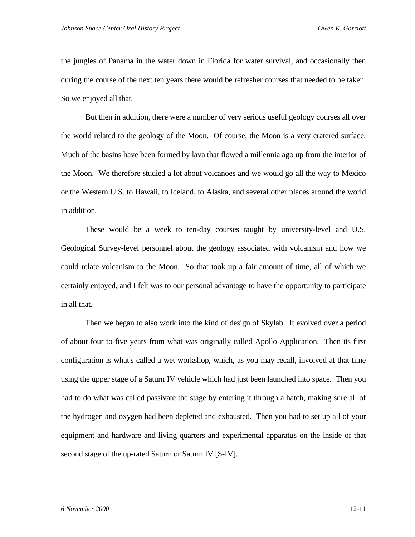the jungles of Panama in the water down in Florida for water survival, and occasionally then during the course of the next ten years there would be refresher courses that needed to be taken. So we enjoyed all that.

But then in addition, there were a number of very serious useful geology courses all over the world related to the geology of the Moon. Of course, the Moon is a very cratered surface. Much of the basins have been formed by lava that flowed a millennia ago up from the interior of the Moon. We therefore studied a lot about volcanoes and we would go all the way to Mexico or the Western U.S. to Hawaii, to Iceland, to Alaska, and several other places around the world in addition.

These would be a week to ten-day courses taught by university-level and U.S. Geological Survey-level personnel about the geology associated with volcanism and how we could relate volcanism to the Moon. So that took up a fair amount of time, all of which we certainly enjoyed, and I felt was to our personal advantage to have the opportunity to participate in all that.

Then we began to also work into the kind of design of Skylab. It evolved over a period of about four to five years from what was originally called Apollo Application. Then its first configuration is what's called a wet workshop, which, as you may recall, involved at that time using the upper stage of a Saturn IV vehicle which had just been launched into space. Then you had to do what was called passivate the stage by entering it through a hatch, making sure all of the hydrogen and oxygen had been depleted and exhausted. Then you had to set up all of your equipment and hardware and living quarters and experimental apparatus on the inside of that second stage of the up-rated Saturn or Saturn IV [S-IV].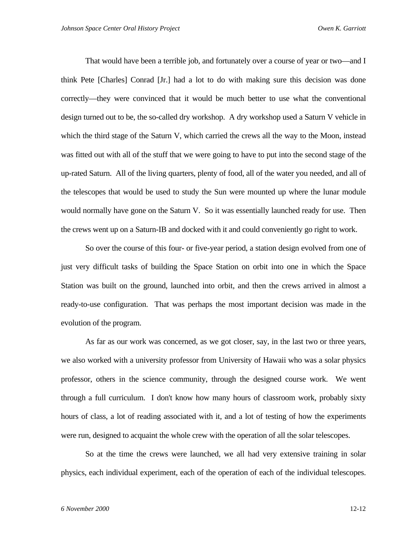That would have been a terrible job, and fortunately over a course of year or two—and I think Pete [Charles] Conrad [Jr.] had a lot to do with making sure this decision was done correctly—they were convinced that it would be much better to use what the conventional design turned out to be, the so-called dry workshop. A dry workshop used a Saturn V vehicle in which the third stage of the Saturn V, which carried the crews all the way to the Moon, instead was fitted out with all of the stuff that we were going to have to put into the second stage of the up-rated Saturn. All of the living quarters, plenty of food, all of the water you needed, and all of the telescopes that would be used to study the Sun were mounted up where the lunar module would normally have gone on the Saturn V. So it was essentially launched ready for use. Then the crews went up on a Saturn-IB and docked with it and could conveniently go right to work.

So over the course of this four- or five-year period, a station design evolved from one of just very difficult tasks of building the Space Station on orbit into one in which the Space Station was built on the ground, launched into orbit, and then the crews arrived in almost a ready-to-use configuration. That was perhaps the most important decision was made in the evolution of the program.

As far as our work was concerned, as we got closer, say, in the last two or three years, we also worked with a university professor from University of Hawaii who was a solar physics professor, others in the science community, through the designed course work. We went through a full curriculum. I don't know how many hours of classroom work, probably sixty hours of class, a lot of reading associated with it, and a lot of testing of how the experiments were run, designed to acquaint the whole crew with the operation of all the solar telescopes.

So at the time the crews were launched, we all had very extensive training in solar physics, each individual experiment, each of the operation of each of the individual telescopes.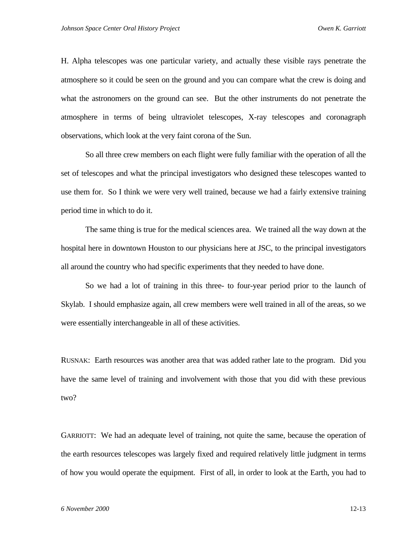H. Alpha telescopes was one particular variety, and actually these visible rays penetrate the atmosphere so it could be seen on the ground and you can compare what the crew is doing and what the astronomers on the ground can see. But the other instruments do not penetrate the atmosphere in terms of being ultraviolet telescopes, X-ray telescopes and coronagraph observations, which look at the very faint corona of the Sun.

So all three crew members on each flight were fully familiar with the operation of all the set of telescopes and what the principal investigators who designed these telescopes wanted to use them for. So I think we were very well trained, because we had a fairly extensive training period time in which to do it.

The same thing is true for the medical sciences area. We trained all the way down at the hospital here in downtown Houston to our physicians here at JSC, to the principal investigators all around the country who had specific experiments that they needed to have done.

So we had a lot of training in this three- to four-year period prior to the launch of Skylab. I should emphasize again, all crew members were well trained in all of the areas, so we were essentially interchangeable in all of these activities.

RUSNAK: Earth resources was another area that was added rather late to the program. Did you have the same level of training and involvement with those that you did with these previous two?

GARRIOTT: We had an adequate level of training, not quite the same, because the operation of the earth resources telescopes was largely fixed and required relatively little judgment in terms of how you would operate the equipment. First of all, in order to look at the Earth, you had to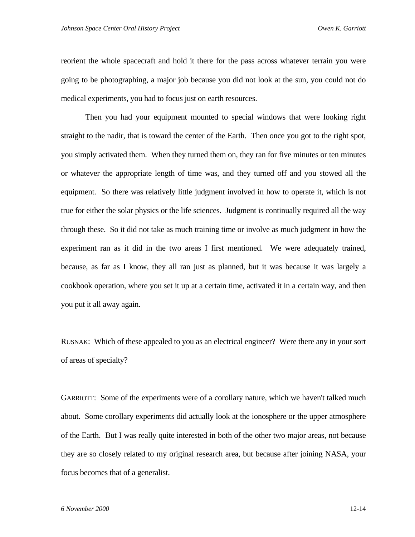reorient the whole spacecraft and hold it there for the pass across whatever terrain you were going to be photographing, a major job because you did not look at the sun, you could not do medical experiments, you had to focus just on earth resources.

Then you had your equipment mounted to special windows that were looking right straight to the nadir, that is toward the center of the Earth. Then once you got to the right spot, you simply activated them. When they turned them on, they ran for five minutes or ten minutes or whatever the appropriate length of time was, and they turned off and you stowed all the equipment. So there was relatively little judgment involved in how to operate it, which is not true for either the solar physics or the life sciences. Judgment is continually required all the way through these. So it did not take as much training time or involve as much judgment in how the experiment ran as it did in the two areas I first mentioned. We were adequately trained, because, as far as I know, they all ran just as planned, but it was because it was largely a cookbook operation, where you set it up at a certain time, activated it in a certain way, and then you put it all away again.

RUSNAK: Which of these appealed to you as an electrical engineer? Were there any in your sort of areas of specialty?

GARRIOTT: Some of the experiments were of a corollary nature, which we haven't talked much about. Some corollary experiments did actually look at the ionosphere or the upper atmosphere of the Earth. But I was really quite interested in both of the other two major areas, not because they are so closely related to my original research area, but because after joining NASA, your focus becomes that of a generalist.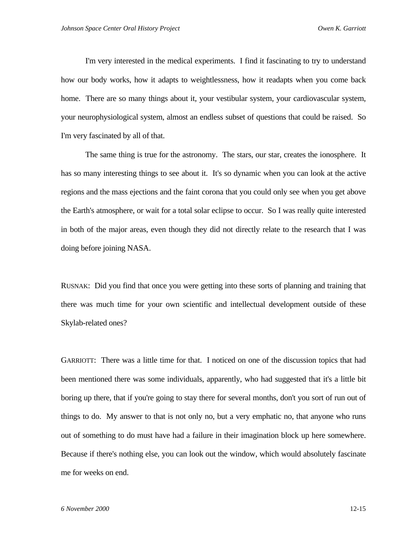I'm very interested in the medical experiments. I find it fascinating to try to understand how our body works, how it adapts to weightlessness, how it readapts when you come back home. There are so many things about it, your vestibular system, your cardiovascular system, your neurophysiological system, almost an endless subset of questions that could be raised. So I'm very fascinated by all of that.

The same thing is true for the astronomy. The stars, our star, creates the ionosphere. It has so many interesting things to see about it. It's so dynamic when you can look at the active regions and the mass ejections and the faint corona that you could only see when you get above the Earth's atmosphere, or wait for a total solar eclipse to occur. So I was really quite interested in both of the major areas, even though they did not directly relate to the research that I was doing before joining NASA.

RUSNAK: Did you find that once you were getting into these sorts of planning and training that there was much time for your own scientific and intellectual development outside of these Skylab-related ones?

GARRIOTT: There was a little time for that. I noticed on one of the discussion topics that had been mentioned there was some individuals, apparently, who had suggested that it's a little bit boring up there, that if you're going to stay there for several months, don't you sort of run out of things to do. My answer to that is not only no, but a very emphatic no, that anyone who runs out of something to do must have had a failure in their imagination block up here somewhere. Because if there's nothing else, you can look out the window, which would absolutely fascinate me for weeks on end.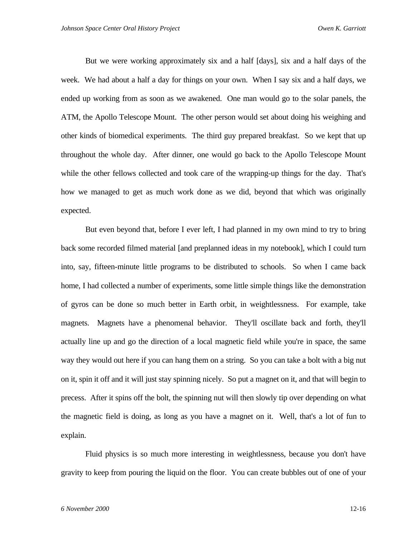But we were working approximately six and a half [days], six and a half days of the week. We had about a half a day for things on your own. When I say six and a half days, we ended up working from as soon as we awakened. One man would go to the solar panels, the ATM, the Apollo Telescope Mount. The other person would set about doing his weighing and other kinds of biomedical experiments. The third guy prepared breakfast. So we kept that up throughout the whole day. After dinner, one would go back to the Apollo Telescope Mount while the other fellows collected and took care of the wrapping-up things for the day. That's how we managed to get as much work done as we did, beyond that which was originally expected.

But even beyond that, before I ever left, I had planned in my own mind to try to bring back some recorded filmed material [and preplanned ideas in my notebook], which I could turn into, say, fifteen-minute little programs to be distributed to schools. So when I came back home, I had collected a number of experiments, some little simple things like the demonstration of gyros can be done so much better in Earth orbit, in weightlessness. For example, take magnets. Magnets have a phenomenal behavior. They'll oscillate back and forth, they'll actually line up and go the direction of a local magnetic field while you're in space, the same way they would out here if you can hang them on a string. So you can take a bolt with a big nut on it, spin it off and it will just stay spinning nicely. So put a magnet on it, and that will begin to precess. After it spins off the bolt, the spinning nut will then slowly tip over depending on what the magnetic field is doing, as long as you have a magnet on it. Well, that's a lot of fun to explain.

Fluid physics is so much more interesting in weightlessness, because you don't have gravity to keep from pouring the liquid on the floor. You can create bubbles out of one of your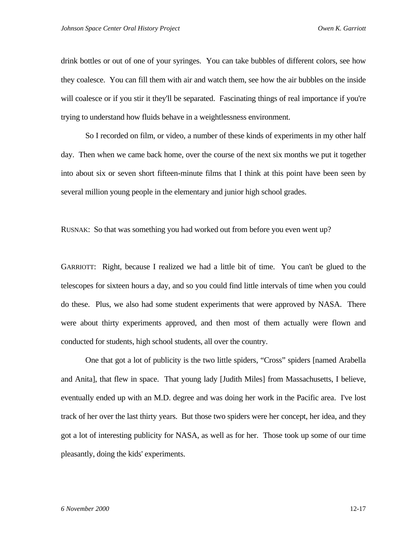drink bottles or out of one of your syringes. You can take bubbles of different colors, see how they coalesce. You can fill them with air and watch them, see how the air bubbles on the inside will coalesce or if you stir it they'll be separated. Fascinating things of real importance if you're trying to understand how fluids behave in a weightlessness environment.

So I recorded on film, or video, a number of these kinds of experiments in my other half day. Then when we came back home, over the course of the next six months we put it together into about six or seven short fifteen-minute films that I think at this point have been seen by several million young people in the elementary and junior high school grades.

RUSNAK: So that was something you had worked out from before you even went up?

GARRIOTT: Right, because I realized we had a little bit of time. You can't be glued to the telescopes for sixteen hours a day, and so you could find little intervals of time when you could do these. Plus, we also had some student experiments that were approved by NASA. There were about thirty experiments approved, and then most of them actually were flown and conducted for students, high school students, all over the country.

One that got a lot of publicity is the two little spiders, "Cross" spiders [named Arabella and Anita], that flew in space. That young lady [Judith Miles] from Massachusetts, I believe, eventually ended up with an M.D. degree and was doing her work in the Pacific area. I've lost track of her over the last thirty years. But those two spiders were her concept, her idea, and they got a lot of interesting publicity for NASA, as well as for her. Those took up some of our time pleasantly, doing the kids' experiments.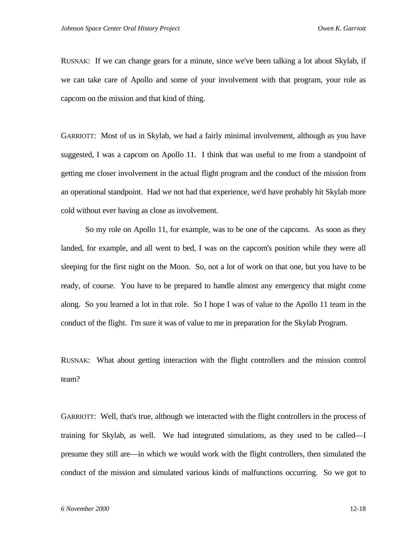RUSNAK: If we can change gears for a minute, since we've been talking a lot about Skylab, if we can take care of Apollo and some of your involvement with that program, your role as capcom on the mission and that kind of thing.

GARRIOTT: Most of us in Skylab, we had a fairly minimal involvement, although as you have suggested, I was a capcom on Apollo 11. I think that was useful to me from a standpoint of getting me closer involvement in the actual flight program and the conduct of the mission from an operational standpoint. Had we not had that experience, we'd have probably hit Skylab more cold without ever having as close as involvement.

So my role on Apollo 11, for example, was to be one of the capcoms. As soon as they landed, for example, and all went to bed, I was on the capcom's position while they were all sleeping for the first night on the Moon. So, not a lot of work on that one, but you have to be ready, of course. You have to be prepared to handle almost any emergency that might come along. So you learned a lot in that role. So I hope I was of value to the Apollo 11 team in the conduct of the flight. I'm sure it was of value to me in preparation for the Skylab Program.

RUSNAK: What about getting interaction with the flight controllers and the mission control team?

GARRIOTT: Well, that's true, although we interacted with the flight controllers in the process of training for Skylab, as well. We had integrated simulations, as they used to be called—I presume they still are—in which we would work with the flight controllers, then simulated the conduct of the mission and simulated various kinds of malfunctions occurring. So we got to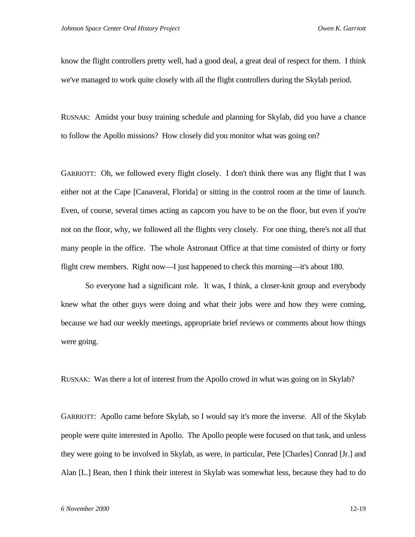know the flight controllers pretty well, had a good deal, a great deal of respect for them. I think we've managed to work quite closely with all the flight controllers during the Skylab period.

RUSNAK: Amidst your busy training schedule and planning for Skylab, did you have a chance to follow the Apollo missions? How closely did you monitor what was going on?

GARRIOTT: Oh, we followed every flight closely. I don't think there was any flight that I was either not at the Cape [Canaveral, Florida] or sitting in the control room at the time of launch. Even, of course, several times acting as capcom you have to be on the floor, but even if you're not on the floor, why, we followed all the flights very closely. For one thing, there's not all that many people in the office. The whole Astronaut Office at that time consisted of thirty or forty flight crew members. Right now—I just happened to check this morning—it's about 180.

So everyone had a significant role. It was, I think, a closer-knit group and everybody knew what the other guys were doing and what their jobs were and how they were coming, because we had our weekly meetings, appropriate brief reviews or comments about how things were going.

RUSNAK: Was there a lot of interest from the Apollo crowd in what was going on in Skylab?

GARRIOTT: Apollo came before Skylab, so I would say it's more the inverse. All of the Skylab people were quite interested in Apollo. The Apollo people were focused on that task, and unless they were going to be involved in Skylab, as were, in particular, Pete [Charles] Conrad [Jr.] and Alan [L.] Bean, then I think their interest in Skylab was somewhat less, because they had to do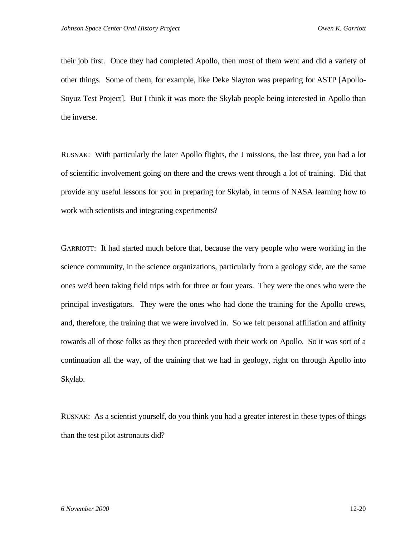their job first. Once they had completed Apollo, then most of them went and did a variety of other things. Some of them, for example, like Deke Slayton was preparing for ASTP [Apollo-Soyuz Test Project]. But I think it was more the Skylab people being interested in Apollo than the inverse.

RUSNAK: With particularly the later Apollo flights, the J missions, the last three, you had a lot of scientific involvement going on there and the crews went through a lot of training. Did that provide any useful lessons for you in preparing for Skylab, in terms of NASA learning how to work with scientists and integrating experiments?

GARRIOTT: It had started much before that, because the very people who were working in the science community, in the science organizations, particularly from a geology side, are the same ones we'd been taking field trips with for three or four years. They were the ones who were the principal investigators. They were the ones who had done the training for the Apollo crews, and, therefore, the training that we were involved in. So we felt personal affiliation and affinity towards all of those folks as they then proceeded with their work on Apollo. So it was sort of a continuation all the way, of the training that we had in geology, right on through Apollo into Skylab.

RUSNAK: As a scientist yourself, do you think you had a greater interest in these types of things than the test pilot astronauts did?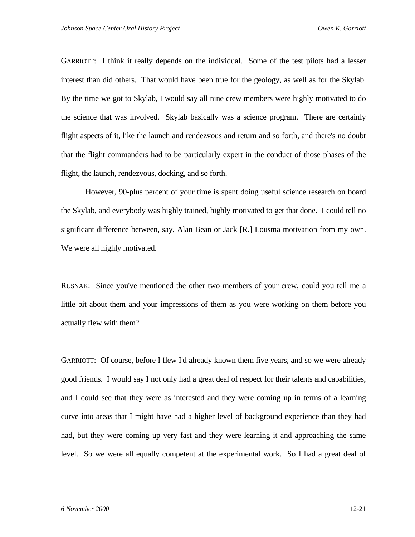GARRIOTT: I think it really depends on the individual. Some of the test pilots had a lesser interest than did others. That would have been true for the geology, as well as for the Skylab. By the time we got to Skylab, I would say all nine crew members were highly motivated to do the science that was involved. Skylab basically was a science program. There are certainly flight aspects of it, like the launch and rendezvous and return and so forth, and there's no doubt that the flight commanders had to be particularly expert in the conduct of those phases of the flight, the launch, rendezvous, docking, and so forth.

However, 90-plus percent of your time is spent doing useful science research on board the Skylab, and everybody was highly trained, highly motivated to get that done. I could tell no significant difference between, say, Alan Bean or Jack [R.] Lousma motivation from my own. We were all highly motivated.

RUSNAK: Since you've mentioned the other two members of your crew, could you tell me a little bit about them and your impressions of them as you were working on them before you actually flew with them?

GARRIOTT: Of course, before I flew I'd already known them five years, and so we were already good friends. I would say I not only had a great deal of respect for their talents and capabilities, and I could see that they were as interested and they were coming up in terms of a learning curve into areas that I might have had a higher level of background experience than they had had, but they were coming up very fast and they were learning it and approaching the same level. So we were all equally competent at the experimental work. So I had a great deal of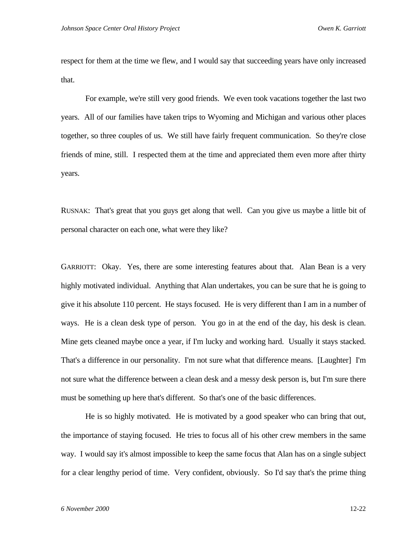respect for them at the time we flew, and I would say that succeeding years have only increased that.

For example, we're still very good friends. We even took vacations together the last two years. All of our families have taken trips to Wyoming and Michigan and various other places together, so three couples of us. We still have fairly frequent communication. So they're close friends of mine, still. I respected them at the time and appreciated them even more after thirty years.

RUSNAK: That's great that you guys get along that well. Can you give us maybe a little bit of personal character on each one, what were they like?

GARRIOTT: Okay. Yes, there are some interesting features about that. Alan Bean is a very highly motivated individual. Anything that Alan undertakes, you can be sure that he is going to give it his absolute 110 percent. He stays focused. He is very different than I am in a number of ways. He is a clean desk type of person. You go in at the end of the day, his desk is clean. Mine gets cleaned maybe once a year, if I'm lucky and working hard. Usually it stays stacked. That's a difference in our personality. I'm not sure what that difference means. [Laughter] I'm not sure what the difference between a clean desk and a messy desk person is, but I'm sure there must be something up here that's different. So that's one of the basic differences.

He is so highly motivated. He is motivated by a good speaker who can bring that out, the importance of staying focused. He tries to focus all of his other crew members in the same way. I would say it's almost impossible to keep the same focus that Alan has on a single subject for a clear lengthy period of time. Very confident, obviously. So I'd say that's the prime thing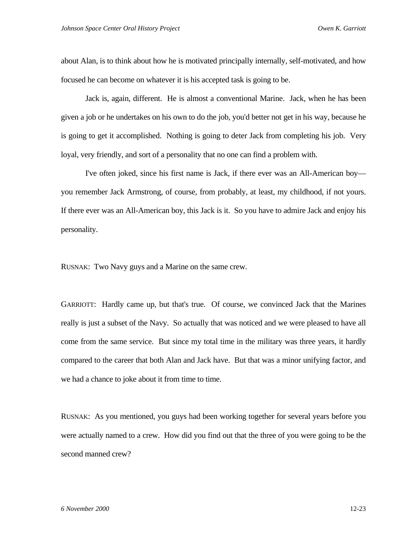about Alan, is to think about how he is motivated principally internally, self-motivated, and how focused he can become on whatever it is his accepted task is going to be.

Jack is, again, different. He is almost a conventional Marine. Jack, when he has been given a job or he undertakes on his own to do the job, you'd better not get in his way, because he is going to get it accomplished. Nothing is going to deter Jack from completing his job. Very loyal, very friendly, and sort of a personality that no one can find a problem with.

I've often joked, since his first name is Jack, if there ever was an All-American boy you remember Jack Armstrong, of course, from probably, at least, my childhood, if not yours. If there ever was an All-American boy, this Jack is it. So you have to admire Jack and enjoy his personality.

RUSNAK: Two Navy guys and a Marine on the same crew.

GARRIOTT: Hardly came up, but that's true. Of course, we convinced Jack that the Marines really is just a subset of the Navy. So actually that was noticed and we were pleased to have all come from the same service. But since my total time in the military was three years, it hardly compared to the career that both Alan and Jack have. But that was a minor unifying factor, and we had a chance to joke about it from time to time.

RUSNAK: As you mentioned, you guys had been working together for several years before you were actually named to a crew. How did you find out that the three of you were going to be the second manned crew?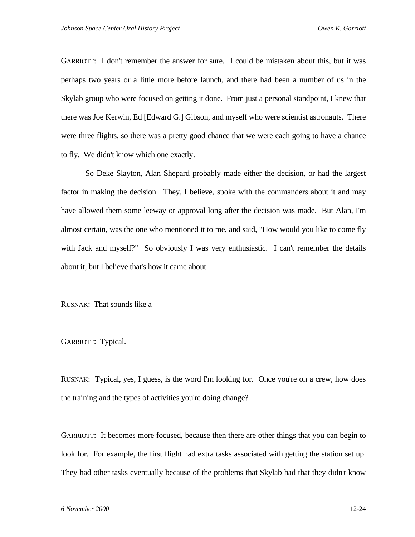GARRIOTT: I don't remember the answer for sure. I could be mistaken about this, but it was perhaps two years or a little more before launch, and there had been a number of us in the Skylab group who were focused on getting it done. From just a personal standpoint, I knew that there was Joe Kerwin, Ed [Edward G.] Gibson, and myself who were scientist astronauts. There were three flights, so there was a pretty good chance that we were each going to have a chance to fly. We didn't know which one exactly.

So Deke Slayton, Alan Shepard probably made either the decision, or had the largest factor in making the decision. They, I believe, spoke with the commanders about it and may have allowed them some leeway or approval long after the decision was made. But Alan, I'm almost certain, was the one who mentioned it to me, and said, "How would you like to come fly with Jack and myself?" So obviously I was very enthusiastic. I can't remember the details about it, but I believe that's how it came about.

RUSNAK: That sounds like a—

GARRIOTT: Typical.

RUSNAK: Typical, yes, I guess, is the word I'm looking for. Once you're on a crew, how does the training and the types of activities you're doing change?

GARRIOTT: It becomes more focused, because then there are other things that you can begin to look for. For example, the first flight had extra tasks associated with getting the station set up. They had other tasks eventually because of the problems that Skylab had that they didn't know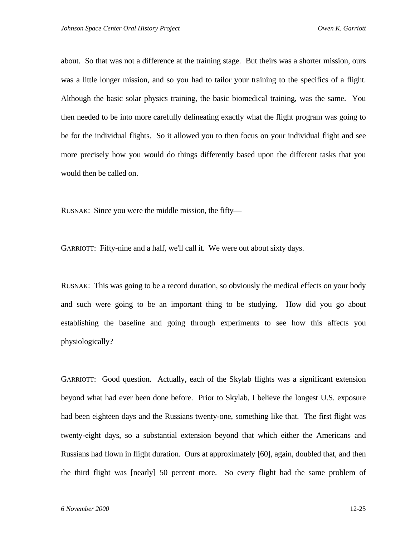about. So that was not a difference at the training stage. But theirs was a shorter mission, ours was a little longer mission, and so you had to tailor your training to the specifics of a flight. Although the basic solar physics training, the basic biomedical training, was the same. You then needed to be into more carefully delineating exactly what the flight program was going to be for the individual flights. So it allowed you to then focus on your individual flight and see more precisely how you would do things differently based upon the different tasks that you would then be called on.

RUSNAK: Since you were the middle mission, the fifty—

GARRIOTT: Fifty-nine and a half, we'll call it. We were out about sixty days.

RUSNAK: This was going to be a record duration, so obviously the medical effects on your body and such were going to be an important thing to be studying. How did you go about establishing the baseline and going through experiments to see how this affects you physiologically?

GARRIOTT: Good question. Actually, each of the Skylab flights was a significant extension beyond what had ever been done before. Prior to Skylab, I believe the longest U.S. exposure had been eighteen days and the Russians twenty-one, something like that. The first flight was twenty-eight days, so a substantial extension beyond that which either the Americans and Russians had flown in flight duration. Ours at approximately [60], again, doubled that, and then the third flight was [nearly] 50 percent more. So every flight had the same problem of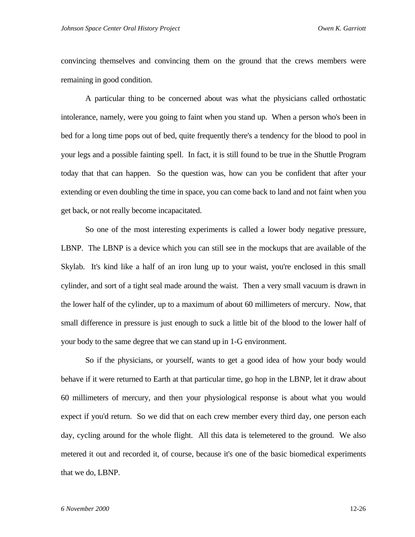convincing themselves and convincing them on the ground that the crews members were remaining in good condition.

A particular thing to be concerned about was what the physicians called orthostatic intolerance, namely, were you going to faint when you stand up. When a person who's been in bed for a long time pops out of bed, quite frequently there's a tendency for the blood to pool in your legs and a possible fainting spell. In fact, it is still found to be true in the Shuttle Program today that that can happen. So the question was, how can you be confident that after your extending or even doubling the time in space, you can come back to land and not faint when you get back, or not really become incapacitated.

So one of the most interesting experiments is called a lower body negative pressure, LBNP. The LBNP is a device which you can still see in the mockups that are available of the Skylab. It's kind like a half of an iron lung up to your waist, you're enclosed in this small cylinder, and sort of a tight seal made around the waist. Then a very small vacuum is drawn in the lower half of the cylinder, up to a maximum of about 60 millimeters of mercury. Now, that small difference in pressure is just enough to suck a little bit of the blood to the lower half of your body to the same degree that we can stand up in 1-G environment.

So if the physicians, or yourself, wants to get a good idea of how your body would behave if it were returned to Earth at that particular time, go hop in the LBNP, let it draw about 60 millimeters of mercury, and then your physiological response is about what you would expect if you'd return. So we did that on each crew member every third day, one person each day, cycling around for the whole flight. All this data is telemetered to the ground. We also metered it out and recorded it, of course, because it's one of the basic biomedical experiments that we do, LBNP.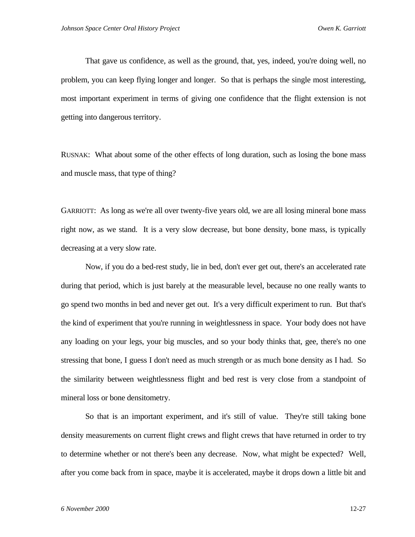That gave us confidence, as well as the ground, that, yes, indeed, you're doing well, no problem, you can keep flying longer and longer. So that is perhaps the single most interesting, most important experiment in terms of giving one confidence that the flight extension is not getting into dangerous territory.

RUSNAK: What about some of the other effects of long duration, such as losing the bone mass and muscle mass, that type of thing?

GARRIOTT: As long as we're all over twenty-five years old, we are all losing mineral bone mass right now, as we stand. It is a very slow decrease, but bone density, bone mass, is typically decreasing at a very slow rate.

Now, if you do a bed-rest study, lie in bed, don't ever get out, there's an accelerated rate during that period, which is just barely at the measurable level, because no one really wants to go spend two months in bed and never get out. It's a very difficult experiment to run. But that's the kind of experiment that you're running in weightlessness in space. Your body does not have any loading on your legs, your big muscles, and so your body thinks that, gee, there's no one stressing that bone, I guess I don't need as much strength or as much bone density as I had. So the similarity between weightlessness flight and bed rest is very close from a standpoint of mineral loss or bone densitometry.

So that is an important experiment, and it's still of value. They're still taking bone density measurements on current flight crews and flight crews that have returned in order to try to determine whether or not there's been any decrease. Now, what might be expected? Well, after you come back from in space, maybe it is accelerated, maybe it drops down a little bit and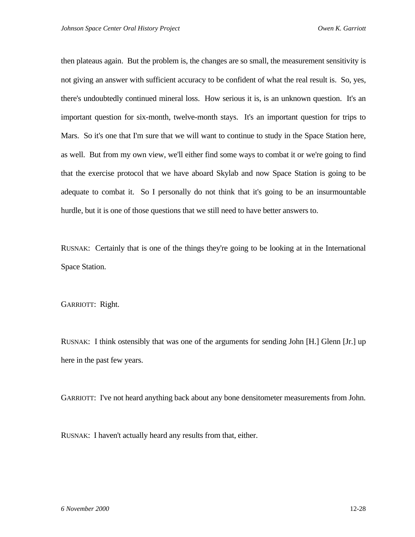then plateaus again. But the problem is, the changes are so small, the measurement sensitivity is not giving an answer with sufficient accuracy to be confident of what the real result is. So, yes, there's undoubtedly continued mineral loss. How serious it is, is an unknown question. It's an important question for six-month, twelve-month stays. It's an important question for trips to Mars. So it's one that I'm sure that we will want to continue to study in the Space Station here, as well. But from my own view, we'll either find some ways to combat it or we're going to find that the exercise protocol that we have aboard Skylab and now Space Station is going to be adequate to combat it. So I personally do not think that it's going to be an insurmountable hurdle, but it is one of those questions that we still need to have better answers to.

RUSNAK: Certainly that is one of the things they're going to be looking at in the International Space Station.

GARRIOTT: Right.

RUSNAK: I think ostensibly that was one of the arguments for sending John [H.] Glenn [Jr.] up here in the past few years.

GARRIOTT: I've not heard anything back about any bone densitometer measurements from John.

RUSNAK: I haven't actually heard any results from that, either.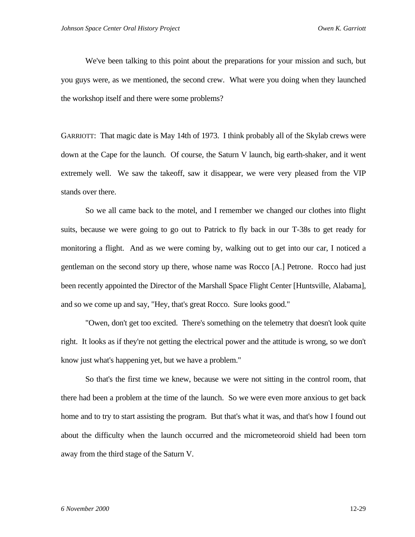We've been talking to this point about the preparations for your mission and such, but you guys were, as we mentioned, the second crew. What were you doing when they launched the workshop itself and there were some problems?

GARRIOTT: That magic date is May 14th of 1973. I think probably all of the Skylab crews were down at the Cape for the launch. Of course, the Saturn V launch, big earth-shaker, and it went extremely well. We saw the takeoff, saw it disappear, we were very pleased from the VIP stands over there.

So we all came back to the motel, and I remember we changed our clothes into flight suits, because we were going to go out to Patrick to fly back in our T-38s to get ready for monitoring a flight. And as we were coming by, walking out to get into our car, I noticed a gentleman on the second story up there, whose name was Rocco [A.] Petrone. Rocco had just been recently appointed the Director of the Marshall Space Flight Center [Huntsville, Alabama], and so we come up and say, "Hey, that's great Rocco. Sure looks good."

"Owen, don't get too excited. There's something on the telemetry that doesn't look quite right. It looks as if they're not getting the electrical power and the attitude is wrong, so we don't know just what's happening yet, but we have a problem."

So that's the first time we knew, because we were not sitting in the control room, that there had been a problem at the time of the launch. So we were even more anxious to get back home and to try to start assisting the program. But that's what it was, and that's how I found out about the difficulty when the launch occurred and the micrometeoroid shield had been torn away from the third stage of the Saturn V.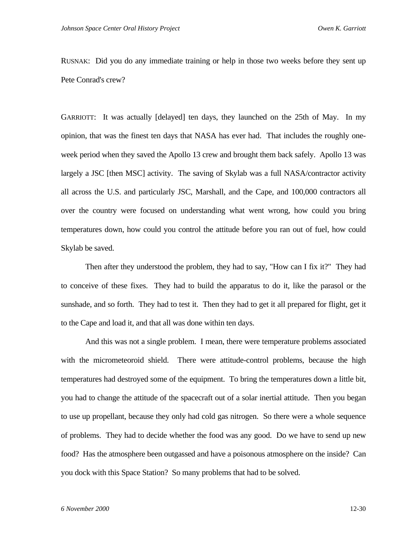RUSNAK: Did you do any immediate training or help in those two weeks before they sent up Pete Conrad's crew?

GARRIOTT: It was actually [delayed] ten days, they launched on the 25th of May. In my opinion, that was the finest ten days that NASA has ever had. That includes the roughly oneweek period when they saved the Apollo 13 crew and brought them back safely. Apollo 13 was largely a JSC [then MSC] activity. The saving of Skylab was a full NASA/contractor activity all across the U.S. and particularly JSC, Marshall, and the Cape, and 100,000 contractors all over the country were focused on understanding what went wrong, how could you bring temperatures down, how could you control the attitude before you ran out of fuel, how could Skylab be saved.

Then after they understood the problem, they had to say, "How can I fix it?" They had to conceive of these fixes. They had to build the apparatus to do it, like the parasol or the sunshade, and so forth. They had to test it. Then they had to get it all prepared for flight, get it to the Cape and load it, and that all was done within ten days.

And this was not a single problem. I mean, there were temperature problems associated with the micrometeoroid shield. There were attitude-control problems, because the high temperatures had destroyed some of the equipment. To bring the temperatures down a little bit, you had to change the attitude of the spacecraft out of a solar inertial attitude. Then you began to use up propellant, because they only had cold gas nitrogen. So there were a whole sequence of problems. They had to decide whether the food was any good. Do we have to send up new food? Has the atmosphere been outgassed and have a poisonous atmosphere on the inside? Can you dock with this Space Station? So many problems that had to be solved.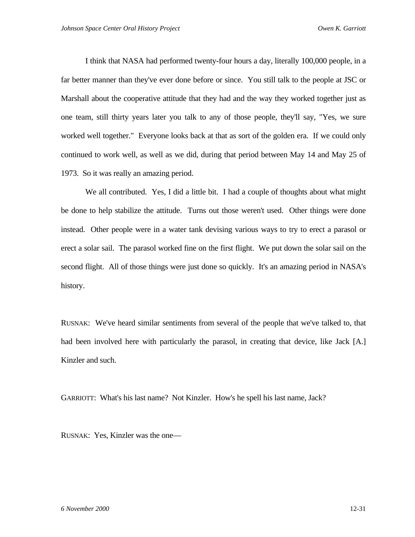I think that NASA had performed twenty-four hours a day, literally 100,000 people, in a far better manner than they've ever done before or since. You still talk to the people at JSC or Marshall about the cooperative attitude that they had and the way they worked together just as one team, still thirty years later you talk to any of those people, they'll say, "Yes, we sure worked well together." Everyone looks back at that as sort of the golden era. If we could only continued to work well, as well as we did, during that period between May 14 and May 25 of 1973. So it was really an amazing period.

We all contributed. Yes, I did a little bit. I had a couple of thoughts about what might be done to help stabilize the attitude. Turns out those weren't used. Other things were done instead. Other people were in a water tank devising various ways to try to erect a parasol or erect a solar sail. The parasol worked fine on the first flight. We put down the solar sail on the second flight. All of those things were just done so quickly. It's an amazing period in NASA's history.

RUSNAK: We've heard similar sentiments from several of the people that we've talked to, that had been involved here with particularly the parasol, in creating that device, like Jack [A.] Kinzler and such.

GARRIOTT: What's his last name? Not Kinzler. How's he spell his last name, Jack?

RUSNAK: Yes, Kinzler was the one—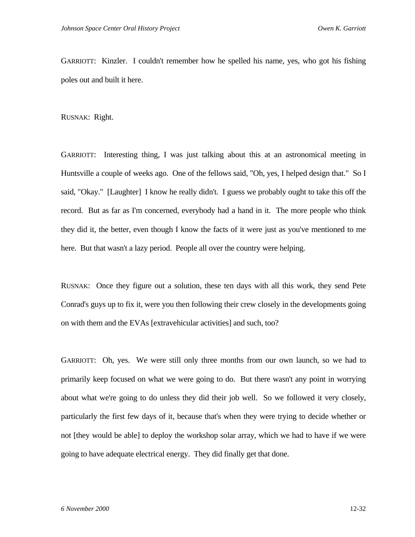GARRIOTT: Kinzler. I couldn't remember how he spelled his name, yes, who got his fishing poles out and built it here.

RUSNAK: Right.

GARRIOTT: Interesting thing, I was just talking about this at an astronomical meeting in Huntsville a couple of weeks ago. One of the fellows said, "Oh, yes, I helped design that." So I said, "Okay." [Laughter] I know he really didn't. I guess we probably ought to take this off the record. But as far as I'm concerned, everybody had a hand in it. The more people who think they did it, the better, even though I know the facts of it were just as you've mentioned to me here. But that wasn't a lazy period. People all over the country were helping.

RUSNAK: Once they figure out a solution, these ten days with all this work, they send Pete Conrad's guys up to fix it, were you then following their crew closely in the developments going on with them and the EVAs [extravehicular activities] and such, too?

GARRIOTT: Oh, yes. We were still only three months from our own launch, so we had to primarily keep focused on what we were going to do. But there wasn't any point in worrying about what we're going to do unless they did their job well. So we followed it very closely, particularly the first few days of it, because that's when they were trying to decide whether or not [they would be able] to deploy the workshop solar array, which we had to have if we were going to have adequate electrical energy. They did finally get that done.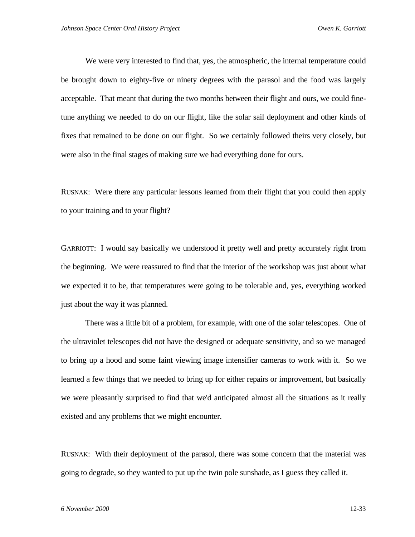We were very interested to find that, yes, the atmospheric, the internal temperature could be brought down to eighty-five or ninety degrees with the parasol and the food was largely acceptable. That meant that during the two months between their flight and ours, we could finetune anything we needed to do on our flight, like the solar sail deployment and other kinds of fixes that remained to be done on our flight. So we certainly followed theirs very closely, but were also in the final stages of making sure we had everything done for ours.

RUSNAK: Were there any particular lessons learned from their flight that you could then apply to your training and to your flight?

GARRIOTT: I would say basically we understood it pretty well and pretty accurately right from the beginning. We were reassured to find that the interior of the workshop was just about what we expected it to be, that temperatures were going to be tolerable and, yes, everything worked just about the way it was planned.

There was a little bit of a problem, for example, with one of the solar telescopes. One of the ultraviolet telescopes did not have the designed or adequate sensitivity, and so we managed to bring up a hood and some faint viewing image intensifier cameras to work with it. So we learned a few things that we needed to bring up for either repairs or improvement, but basically we were pleasantly surprised to find that we'd anticipated almost all the situations as it really existed and any problems that we might encounter.

RUSNAK: With their deployment of the parasol, there was some concern that the material was going to degrade, so they wanted to put up the twin pole sunshade, as I guess they called it.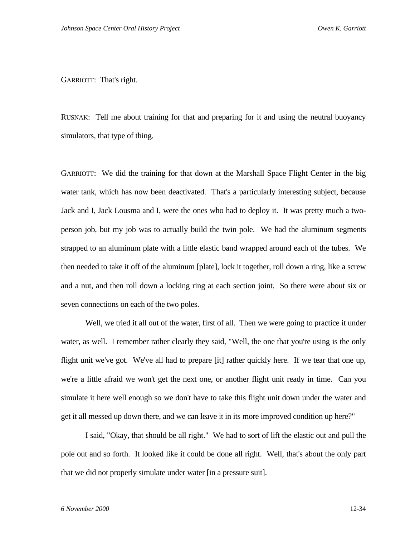GARRIOTT: That's right.

RUSNAK: Tell me about training for that and preparing for it and using the neutral buoyancy simulators, that type of thing.

GARRIOTT: We did the training for that down at the Marshall Space Flight Center in the big water tank, which has now been deactivated. That's a particularly interesting subject, because Jack and I, Jack Lousma and I, were the ones who had to deploy it. It was pretty much a twoperson job, but my job was to actually build the twin pole. We had the aluminum segments strapped to an aluminum plate with a little elastic band wrapped around each of the tubes. We then needed to take it off of the aluminum [plate], lock it together, roll down a ring, like a screw and a nut, and then roll down a locking ring at each section joint. So there were about six or seven connections on each of the two poles.

Well, we tried it all out of the water, first of all. Then we were going to practice it under water, as well. I remember rather clearly they said, "Well, the one that you're using is the only flight unit we've got. We've all had to prepare [it] rather quickly here. If we tear that one up, we're a little afraid we won't get the next one, or another flight unit ready in time. Can you simulate it here well enough so we don't have to take this flight unit down under the water and get it all messed up down there, and we can leave it in its more improved condition up here?"

I said, "Okay, that should be all right." We had to sort of lift the elastic out and pull the pole out and so forth. It looked like it could be done all right. Well, that's about the only part that we did not properly simulate under water [in a pressure suit].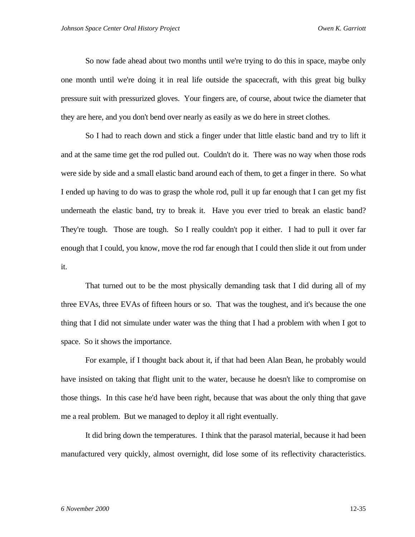So now fade ahead about two months until we're trying to do this in space, maybe only one month until we're doing it in real life outside the spacecraft, with this great big bulky pressure suit with pressurized gloves. Your fingers are, of course, about twice the diameter that they are here, and you don't bend over nearly as easily as we do here in street clothes.

So I had to reach down and stick a finger under that little elastic band and try to lift it and at the same time get the rod pulled out. Couldn't do it. There was no way when those rods were side by side and a small elastic band around each of them, to get a finger in there. So what I ended up having to do was to grasp the whole rod, pull it up far enough that I can get my fist underneath the elastic band, try to break it. Have you ever tried to break an elastic band? They're tough. Those are tough. So I really couldn't pop it either. I had to pull it over far enough that I could, you know, move the rod far enough that I could then slide it out from under it.

That turned out to be the most physically demanding task that I did during all of my three EVAs, three EVAs of fifteen hours or so. That was the toughest, and it's because the one thing that I did not simulate under water was the thing that I had a problem with when I got to space. So it shows the importance.

For example, if I thought back about it, if that had been Alan Bean, he probably would have insisted on taking that flight unit to the water, because he doesn't like to compromise on those things. In this case he'd have been right, because that was about the only thing that gave me a real problem. But we managed to deploy it all right eventually.

It did bring down the temperatures. I think that the parasol material, because it had been manufactured very quickly, almost overnight, did lose some of its reflectivity characteristics.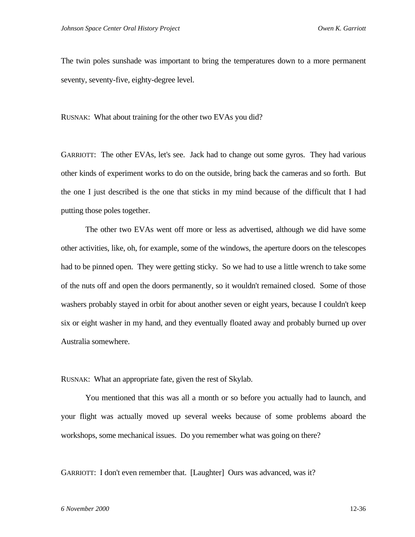The twin poles sunshade was important to bring the temperatures down to a more permanent seventy, seventy-five, eighty-degree level.

RUSNAK: What about training for the other two EVAs you did?

GARRIOTT: The other EVAs, let's see. Jack had to change out some gyros. They had various other kinds of experiment works to do on the outside, bring back the cameras and so forth. But the one I just described is the one that sticks in my mind because of the difficult that I had putting those poles together.

The other two EVAs went off more or less as advertised, although we did have some other activities, like, oh, for example, some of the windows, the aperture doors on the telescopes had to be pinned open. They were getting sticky. So we had to use a little wrench to take some of the nuts off and open the doors permanently, so it wouldn't remained closed. Some of those washers probably stayed in orbit for about another seven or eight years, because I couldn't keep six or eight washer in my hand, and they eventually floated away and probably burned up over Australia somewhere.

RUSNAK: What an appropriate fate, given the rest of Skylab.

You mentioned that this was all a month or so before you actually had to launch, and your flight was actually moved up several weeks because of some problems aboard the workshops, some mechanical issues. Do you remember what was going on there?

GARRIOTT: I don't even remember that. [Laughter] Ours was advanced, was it?

## *6 November 2000* 12-36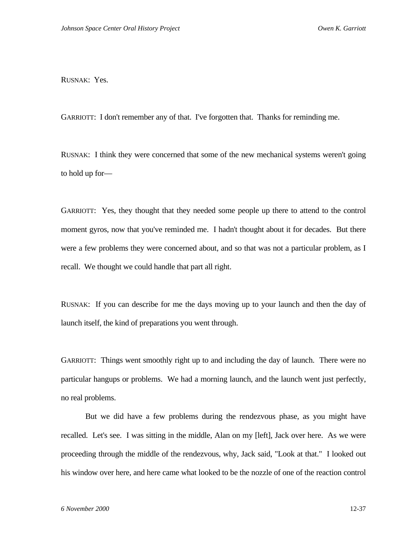RUSNAK: Yes.

GARRIOTT: I don't remember any of that. I've forgotten that. Thanks for reminding me.

RUSNAK: I think they were concerned that some of the new mechanical systems weren't going to hold up for—

GARRIOTT: Yes, they thought that they needed some people up there to attend to the control moment gyros, now that you've reminded me. I hadn't thought about it for decades. But there were a few problems they were concerned about, and so that was not a particular problem, as I recall. We thought we could handle that part all right.

RUSNAK: If you can describe for me the days moving up to your launch and then the day of launch itself, the kind of preparations you went through.

GARRIOTT: Things went smoothly right up to and including the day of launch. There were no particular hangups or problems. We had a morning launch, and the launch went just perfectly, no real problems.

But we did have a few problems during the rendezvous phase, as you might have recalled. Let's see. I was sitting in the middle, Alan on my [left], Jack over here. As we were proceeding through the middle of the rendezvous, why, Jack said, "Look at that." I looked out his window over here, and here came what looked to be the nozzle of one of the reaction control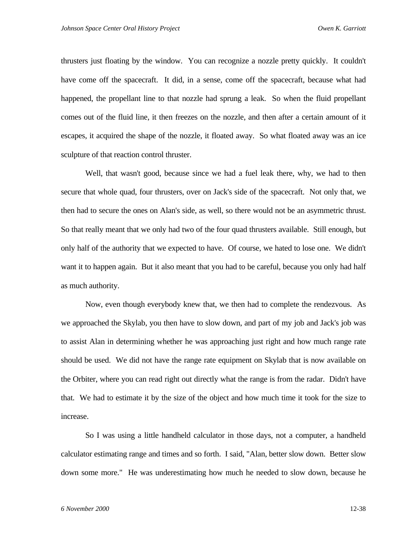thrusters just floating by the window. You can recognize a nozzle pretty quickly. It couldn't have come off the spacecraft. It did, in a sense, come off the spacecraft, because what had happened, the propellant line to that nozzle had sprung a leak. So when the fluid propellant comes out of the fluid line, it then freezes on the nozzle, and then after a certain amount of it escapes, it acquired the shape of the nozzle, it floated away. So what floated away was an ice sculpture of that reaction control thruster.

Well, that wasn't good, because since we had a fuel leak there, why, we had to then secure that whole quad, four thrusters, over on Jack's side of the spacecraft. Not only that, we then had to secure the ones on Alan's side, as well, so there would not be an asymmetric thrust. So that really meant that we only had two of the four quad thrusters available. Still enough, but only half of the authority that we expected to have. Of course, we hated to lose one. We didn't want it to happen again. But it also meant that you had to be careful, because you only had half as much authority.

Now, even though everybody knew that, we then had to complete the rendezvous. As we approached the Skylab, you then have to slow down, and part of my job and Jack's job was to assist Alan in determining whether he was approaching just right and how much range rate should be used. We did not have the range rate equipment on Skylab that is now available on the Orbiter, where you can read right out directly what the range is from the radar. Didn't have that. We had to estimate it by the size of the object and how much time it took for the size to increase.

So I was using a little handheld calculator in those days, not a computer, a handheld calculator estimating range and times and so forth. I said, "Alan, better slow down. Better slow down some more." He was underestimating how much he needed to slow down, because he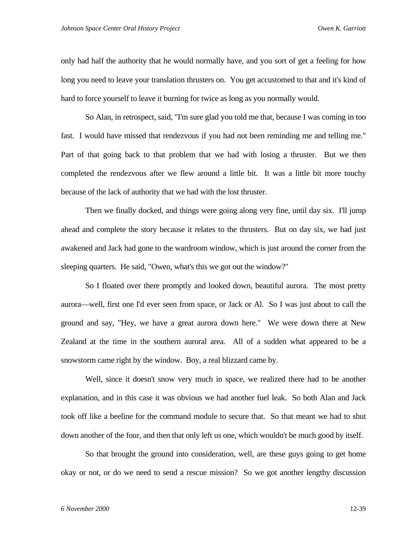only had half the authority that he would normally have, and you sort of get a feeling for how long you need to leave your translation thrusters on. You get accustomed to that and it's kind of hard to force yourself to leave it burning for twice as long as you normally would.

So Alan, in retrospect, said, "I'm sure glad you told me that, because I was coming in too fast. I would have missed that rendezvous if you had not been reminding me and telling me." Part of that going back to that problem that we had with losing a thruster. But we then completed the rendezvous after we flew around a little bit. It was a little bit more touchy because of the lack of authority that we had with the lost thruster.

Then we finally docked, and things were going along very fine, until day six. I'll jump ahead and complete the story because it relates to the thrusters. But on day six, we had just awakened and Jack had gone to the wardroom window, which is just around the corner from the sleeping quarters. He said, "Owen, what's this we got out the window?"

So I floated over there promptly and looked down, beautiful aurora. The most pretty aurora—well, first one I'd ever seen from space, or Jack or Al. So I was just about to call the ground and say, "Hey, we have a great aurora down here." We were down there at New Zealand at the time in the southern auroral area. All of a sudden what appeared to be a snowstorm came right by the window. Boy, a real blizzard came by.

Well, since it doesn't snow very much in space, we realized there had to be another explanation, and in this case it was obvious we had another fuel leak. So both Alan and Jack took off like a beeline for the command module to secure that. So that meant we had to shut down another of the four, and then that only left us one, which wouldn't be much good by itself.

So that brought the ground into consideration, well, are these guys going to get home okay or not, or do we need to send a rescue mission? So we got another lengthy discussion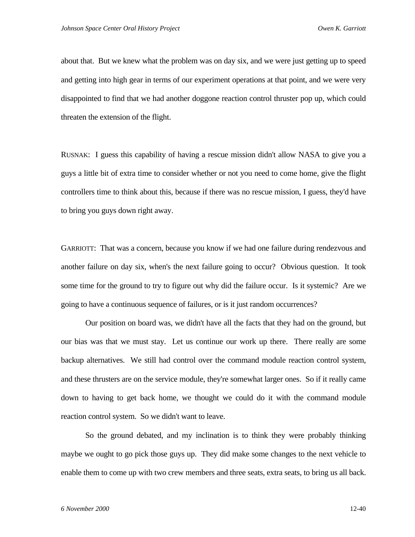about that. But we knew what the problem was on day six, and we were just getting up to speed and getting into high gear in terms of our experiment operations at that point, and we were very disappointed to find that we had another doggone reaction control thruster pop up, which could threaten the extension of the flight.

RUSNAK: I guess this capability of having a rescue mission didn't allow NASA to give you a guys a little bit of extra time to consider whether or not you need to come home, give the flight controllers time to think about this, because if there was no rescue mission, I guess, they'd have to bring you guys down right away.

GARRIOTT: That was a concern, because you know if we had one failure during rendezvous and another failure on day six, when's the next failure going to occur? Obvious question. It took some time for the ground to try to figure out why did the failure occur. Is it systemic? Are we going to have a continuous sequence of failures, or is it just random occurrences?

Our position on board was, we didn't have all the facts that they had on the ground, but our bias was that we must stay. Let us continue our work up there. There really are some backup alternatives. We still had control over the command module reaction control system, and these thrusters are on the service module, they're somewhat larger ones. So if it really came down to having to get back home, we thought we could do it with the command module reaction control system. So we didn't want to leave.

So the ground debated, and my inclination is to think they were probably thinking maybe we ought to go pick those guys up. They did make some changes to the next vehicle to enable them to come up with two crew members and three seats, extra seats, to bring us all back.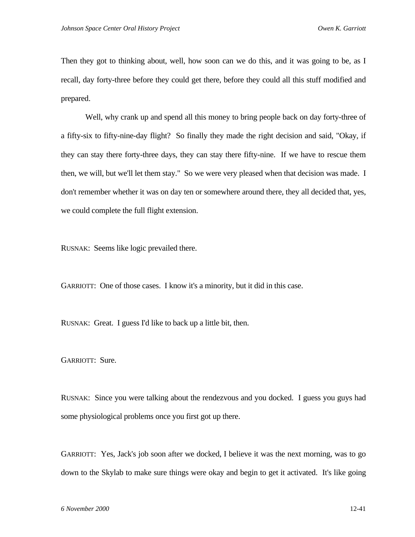Then they got to thinking about, well, how soon can we do this, and it was going to be, as I recall, day forty-three before they could get there, before they could all this stuff modified and prepared.

Well, why crank up and spend all this money to bring people back on day forty-three of a fifty-six to fifty-nine-day flight? So finally they made the right decision and said, "Okay, if they can stay there forty-three days, they can stay there fifty-nine. If we have to rescue them then, we will, but we'll let them stay." So we were very pleased when that decision was made. I don't remember whether it was on day ten or somewhere around there, they all decided that, yes, we could complete the full flight extension.

RUSNAK: Seems like logic prevailed there.

GARRIOTT: One of those cases. I know it's a minority, but it did in this case.

RUSNAK: Great. I guess I'd like to back up a little bit, then.

GARRIOTT: Sure.

RUSNAK: Since you were talking about the rendezvous and you docked. I guess you guys had some physiological problems once you first got up there.

GARRIOTT: Yes, Jack's job soon after we docked, I believe it was the next morning, was to go down to the Skylab to make sure things were okay and begin to get it activated. It's like going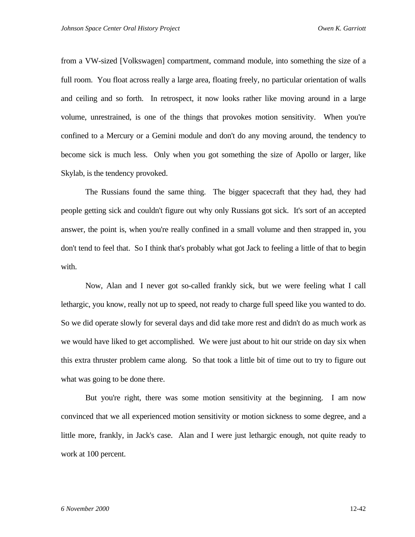from a VW-sized [Volkswagen] compartment, command module, into something the size of a full room. You float across really a large area, floating freely, no particular orientation of walls and ceiling and so forth. In retrospect, it now looks rather like moving around in a large volume, unrestrained, is one of the things that provokes motion sensitivity. When you're confined to a Mercury or a Gemini module and don't do any moving around, the tendency to become sick is much less. Only when you got something the size of Apollo or larger, like Skylab, is the tendency provoked.

The Russians found the same thing. The bigger spacecraft that they had, they had people getting sick and couldn't figure out why only Russians got sick. It's sort of an accepted answer, the point is, when you're really confined in a small volume and then strapped in, you don't tend to feel that. So I think that's probably what got Jack to feeling a little of that to begin with.

Now, Alan and I never got so-called frankly sick, but we were feeling what I call lethargic, you know, really not up to speed, not ready to charge full speed like you wanted to do. So we did operate slowly for several days and did take more rest and didn't do as much work as we would have liked to get accomplished. We were just about to hit our stride on day six when this extra thruster problem came along. So that took a little bit of time out to try to figure out what was going to be done there.

But you're right, there was some motion sensitivity at the beginning. I am now convinced that we all experienced motion sensitivity or motion sickness to some degree, and a little more, frankly, in Jack's case. Alan and I were just lethargic enough, not quite ready to work at 100 percent.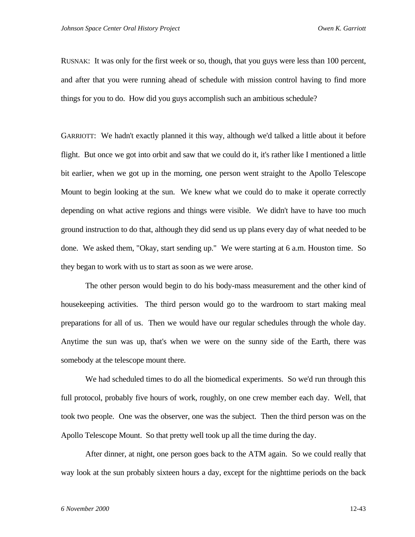RUSNAK: It was only for the first week or so, though, that you guys were less than 100 percent, and after that you were running ahead of schedule with mission control having to find more things for you to do. How did you guys accomplish such an ambitious schedule?

GARRIOTT: We hadn't exactly planned it this way, although we'd talked a little about it before flight. But once we got into orbit and saw that we could do it, it's rather like I mentioned a little bit earlier, when we got up in the morning, one person went straight to the Apollo Telescope Mount to begin looking at the sun. We knew what we could do to make it operate correctly depending on what active regions and things were visible. We didn't have to have too much ground instruction to do that, although they did send us up plans every day of what needed to be done. We asked them, "Okay, start sending up." We were starting at 6 a.m. Houston time. So they began to work with us to start as soon as we were arose.

The other person would begin to do his body-mass measurement and the other kind of housekeeping activities. The third person would go to the wardroom to start making meal preparations for all of us. Then we would have our regular schedules through the whole day. Anytime the sun was up, that's when we were on the sunny side of the Earth, there was somebody at the telescope mount there.

We had scheduled times to do all the biomedical experiments. So we'd run through this full protocol, probably five hours of work, roughly, on one crew member each day. Well, that took two people. One was the observer, one was the subject. Then the third person was on the Apollo Telescope Mount. So that pretty well took up all the time during the day.

After dinner, at night, one person goes back to the ATM again. So we could really that way look at the sun probably sixteen hours a day, except for the nighttime periods on the back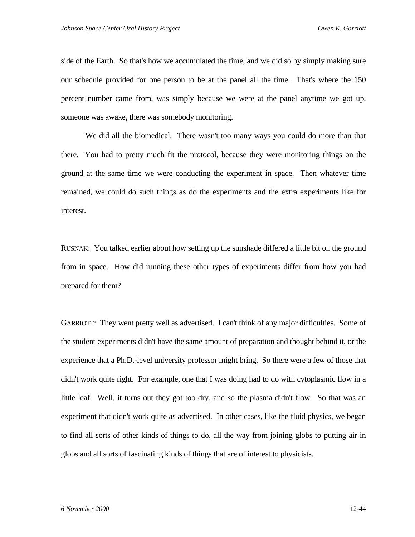side of the Earth. So that's how we accumulated the time, and we did so by simply making sure our schedule provided for one person to be at the panel all the time. That's where the 150 percent number came from, was simply because we were at the panel anytime we got up, someone was awake, there was somebody monitoring.

We did all the biomedical. There wasn't too many ways you could do more than that there. You had to pretty much fit the protocol, because they were monitoring things on the ground at the same time we were conducting the experiment in space. Then whatever time remained, we could do such things as do the experiments and the extra experiments like for interest.

RUSNAK: You talked earlier about how setting up the sunshade differed a little bit on the ground from in space. How did running these other types of experiments differ from how you had prepared for them?

GARRIOTT: They went pretty well as advertised. I can't think of any major difficulties. Some of the student experiments didn't have the same amount of preparation and thought behind it, or the experience that a Ph.D.-level university professor might bring. So there were a few of those that didn't work quite right. For example, one that I was doing had to do with cytoplasmic flow in a little leaf. Well, it turns out they got too dry, and so the plasma didn't flow. So that was an experiment that didn't work quite as advertised. In other cases, like the fluid physics, we began to find all sorts of other kinds of things to do, all the way from joining globs to putting air in globs and all sorts of fascinating kinds of things that are of interest to physicists.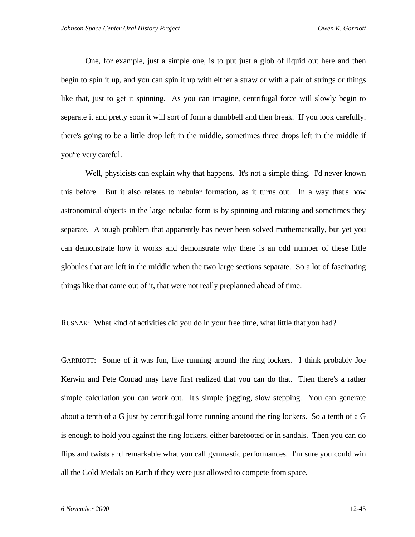One, for example, just a simple one, is to put just a glob of liquid out here and then begin to spin it up, and you can spin it up with either a straw or with a pair of strings or things like that, just to get it spinning. As you can imagine, centrifugal force will slowly begin to separate it and pretty soon it will sort of form a dumbbell and then break. If you look carefully. there's going to be a little drop left in the middle, sometimes three drops left in the middle if you're very careful.

Well, physicists can explain why that happens. It's not a simple thing. I'd never known this before. But it also relates to nebular formation, as it turns out. In a way that's how astronomical objects in the large nebulae form is by spinning and rotating and sometimes they separate. A tough problem that apparently has never been solved mathematically, but yet you can demonstrate how it works and demonstrate why there is an odd number of these little globules that are left in the middle when the two large sections separate. So a lot of fascinating things like that came out of it, that were not really preplanned ahead of time.

RUSNAK: What kind of activities did you do in your free time, what little that you had?

GARRIOTT: Some of it was fun, like running around the ring lockers. I think probably Joe Kerwin and Pete Conrad may have first realized that you can do that. Then there's a rather simple calculation you can work out. It's simple jogging, slow stepping. You can generate about a tenth of a G just by centrifugal force running around the ring lockers. So a tenth of a G is enough to hold you against the ring lockers, either barefooted or in sandals. Then you can do flips and twists and remarkable what you call gymnastic performances. I'm sure you could win all the Gold Medals on Earth if they were just allowed to compete from space.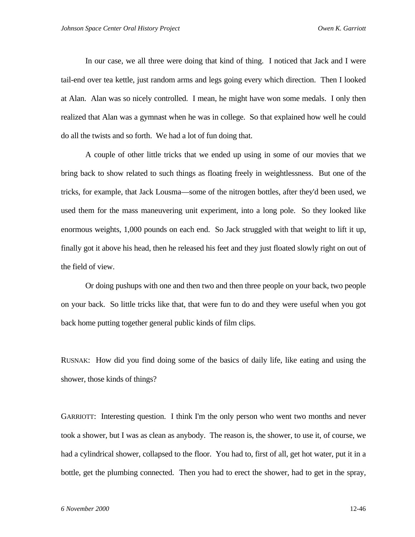In our case, we all three were doing that kind of thing. I noticed that Jack and I were tail-end over tea kettle, just random arms and legs going every which direction. Then I looked at Alan. Alan was so nicely controlled. I mean, he might have won some medals. I only then realized that Alan was a gymnast when he was in college. So that explained how well he could do all the twists and so forth. We had a lot of fun doing that.

A couple of other little tricks that we ended up using in some of our movies that we bring back to show related to such things as floating freely in weightlessness. But one of the tricks, for example, that Jack Lousma—some of the nitrogen bottles, after they'd been used, we used them for the mass maneuvering unit experiment, into a long pole. So they looked like enormous weights, 1,000 pounds on each end. So Jack struggled with that weight to lift it up, finally got it above his head, then he released his feet and they just floated slowly right on out of the field of view.

Or doing pushups with one and then two and then three people on your back, two people on your back. So little tricks like that, that were fun to do and they were useful when you got back home putting together general public kinds of film clips.

RUSNAK: How did you find doing some of the basics of daily life, like eating and using the shower, those kinds of things?

GARRIOTT: Interesting question. I think I'm the only person who went two months and never took a shower, but I was as clean as anybody. The reason is, the shower, to use it, of course, we had a cylindrical shower, collapsed to the floor. You had to, first of all, get hot water, put it in a bottle, get the plumbing connected. Then you had to erect the shower, had to get in the spray,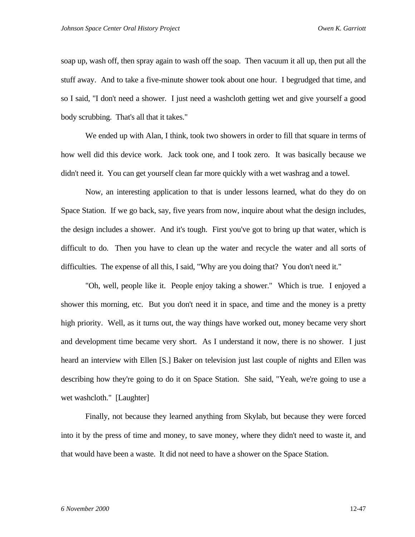soap up, wash off, then spray again to wash off the soap. Then vacuum it all up, then put all the stuff away. And to take a five-minute shower took about one hour. I begrudged that time, and so I said, "I don't need a shower. I just need a washcloth getting wet and give yourself a good body scrubbing. That's all that it takes."

We ended up with Alan, I think, took two showers in order to fill that square in terms of how well did this device work. Jack took one, and I took zero. It was basically because we didn't need it. You can get yourself clean far more quickly with a wet washrag and a towel.

Now, an interesting application to that is under lessons learned, what do they do on Space Station. If we go back, say, five years from now, inquire about what the design includes, the design includes a shower. And it's tough. First you've got to bring up that water, which is difficult to do. Then you have to clean up the water and recycle the water and all sorts of difficulties. The expense of all this, I said, "Why are you doing that? You don't need it."

"Oh, well, people like it. People enjoy taking a shower." Which is true. I enjoyed a shower this morning, etc. But you don't need it in space, and time and the money is a pretty high priority. Well, as it turns out, the way things have worked out, money became very short and development time became very short. As I understand it now, there is no shower. I just heard an interview with Ellen [S.] Baker on television just last couple of nights and Ellen was describing how they're going to do it on Space Station. She said, "Yeah, we're going to use a wet washcloth." [Laughter]

Finally, not because they learned anything from Skylab, but because they were forced into it by the press of time and money, to save money, where they didn't need to waste it, and that would have been a waste. It did not need to have a shower on the Space Station.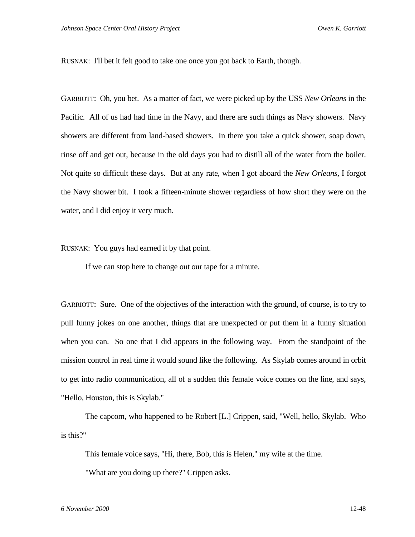RUSNAK: I'll bet it felt good to take one once you got back to Earth, though.

GARRIOTT: Oh, you bet. As a matter of fact, we were picked up by the USS *New Orleans* in the Pacific. All of us had had time in the Navy, and there are such things as Navy showers. Navy showers are different from land-based showers. In there you take a quick shower, soap down, rinse off and get out, because in the old days you had to distill all of the water from the boiler. Not quite so difficult these days. But at any rate, when I got aboard the *New Orleans*, I forgot the Navy shower bit. I took a fifteen-minute shower regardless of how short they were on the water, and I did enjoy it very much.

RUSNAK: You guys had earned it by that point.

If we can stop here to change out our tape for a minute.

GARRIOTT: Sure. One of the objectives of the interaction with the ground, of course, is to try to pull funny jokes on one another, things that are unexpected or put them in a funny situation when you can. So one that I did appears in the following way. From the standpoint of the mission control in real time it would sound like the following. As Skylab comes around in orbit to get into radio communication, all of a sudden this female voice comes on the line, and says, "Hello, Houston, this is Skylab."

The capcom, who happened to be Robert [L.] Crippen, said, "Well, hello, Skylab. Who is this?"

This female voice says, "Hi, there, Bob, this is Helen," my wife at the time.

"What are you doing up there?" Crippen asks.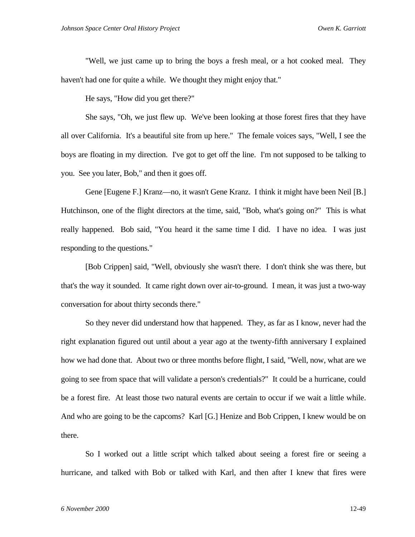"Well, we just came up to bring the boys a fresh meal, or a hot cooked meal. They haven't had one for quite a while. We thought they might enjoy that."

He says, "How did you get there?"

She says, "Oh, we just flew up. We've been looking at those forest fires that they have all over California. It's a beautiful site from up here." The female voices says, "Well, I see the boys are floating in my direction. I've got to get off the line. I'm not supposed to be talking to you. See you later, Bob," and then it goes off.

Gene [Eugene F.] Kranz—no, it wasn't Gene Kranz. I think it might have been Neil [B.] Hutchinson, one of the flight directors at the time, said, "Bob, what's going on?" This is what really happened. Bob said, "You heard it the same time I did. I have no idea. I was just responding to the questions."

[Bob Crippen] said, "Well, obviously she wasn't there. I don't think she was there, but that's the way it sounded. It came right down over air-to-ground. I mean, it was just a two-way conversation for about thirty seconds there."

So they never did understand how that happened. They, as far as I know, never had the right explanation figured out until about a year ago at the twenty-fifth anniversary I explained how we had done that. About two or three months before flight, I said, "Well, now, what are we going to see from space that will validate a person's credentials?" It could be a hurricane, could be a forest fire. At least those two natural events are certain to occur if we wait a little while. And who are going to be the capcoms? Karl [G.] Henize and Bob Crippen, I knew would be on there.

So I worked out a little script which talked about seeing a forest fire or seeing a hurricane, and talked with Bob or talked with Karl, and then after I knew that fires were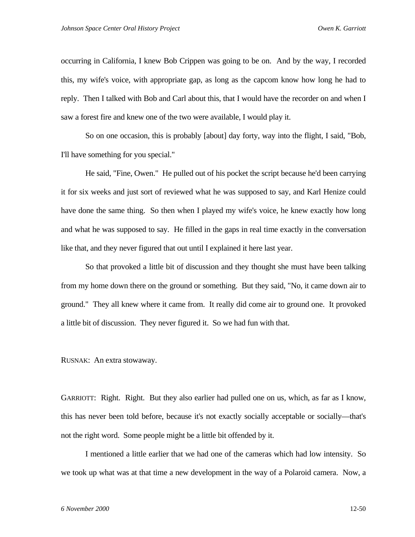occurring in California, I knew Bob Crippen was going to be on. And by the way, I recorded this, my wife's voice, with appropriate gap, as long as the capcom know how long he had to reply. Then I talked with Bob and Carl about this, that I would have the recorder on and when I saw a forest fire and knew one of the two were available, I would play it.

So on one occasion, this is probably [about] day forty, way into the flight, I said, "Bob, I'll have something for you special."

He said, "Fine, Owen." He pulled out of his pocket the script because he'd been carrying it for six weeks and just sort of reviewed what he was supposed to say, and Karl Henize could have done the same thing. So then when I played my wife's voice, he knew exactly how long and what he was supposed to say. He filled in the gaps in real time exactly in the conversation like that, and they never figured that out until I explained it here last year.

So that provoked a little bit of discussion and they thought she must have been talking from my home down there on the ground or something. But they said, "No, it came down air to ground." They all knew where it came from. It really did come air to ground one. It provoked a little bit of discussion. They never figured it. So we had fun with that.

RUSNAK: An extra stowaway.

GARRIOTT: Right. Right. But they also earlier had pulled one on us, which, as far as I know, this has never been told before, because it's not exactly socially acceptable or socially—that's not the right word. Some people might be a little bit offended by it.

I mentioned a little earlier that we had one of the cameras which had low intensity. So we took up what was at that time a new development in the way of a Polaroid camera. Now, a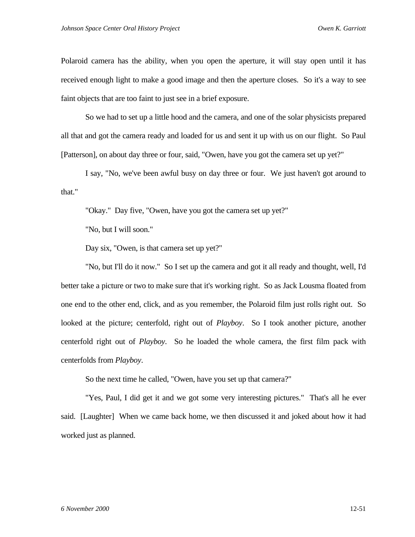Polaroid camera has the ability, when you open the aperture, it will stay open until it has received enough light to make a good image and then the aperture closes. So it's a way to see faint objects that are too faint to just see in a brief exposure.

So we had to set up a little hood and the camera, and one of the solar physicists prepared all that and got the camera ready and loaded for us and sent it up with us on our flight. So Paul [Patterson], on about day three or four, said, "Owen, have you got the camera set up yet?"

I say, "No, we've been awful busy on day three or four. We just haven't got around to that."

"Okay." Day five, "Owen, have you got the camera set up yet?"

"No, but I will soon."

Day six, "Owen, is that camera set up yet?"

"No, but I'll do it now." So I set up the camera and got it all ready and thought, well, I'd better take a picture or two to make sure that it's working right. So as Jack Lousma floated from one end to the other end, click, and as you remember, the Polaroid film just rolls right out. So looked at the picture; centerfold, right out of *Playboy*. So I took another picture, another centerfold right out of *Playboy*. So he loaded the whole camera, the first film pack with centerfolds from *Playboy*.

So the next time he called, "Owen, have you set up that camera?"

"Yes, Paul, I did get it and we got some very interesting pictures." That's all he ever said. [Laughter] When we came back home, we then discussed it and joked about how it had worked just as planned.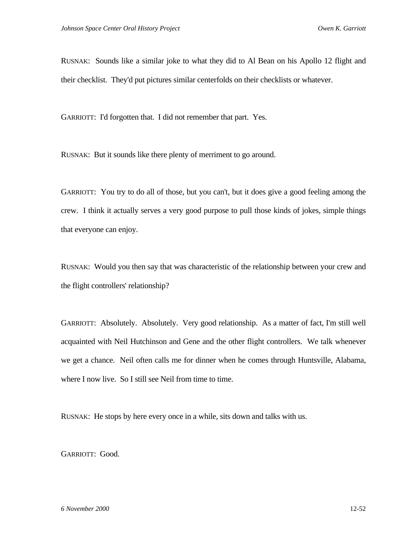RUSNAK: Sounds like a similar joke to what they did to Al Bean on his Apollo 12 flight and their checklist. They'd put pictures similar centerfolds on their checklists or whatever.

GARRIOTT: I'd forgotten that. I did not remember that part. Yes.

RUSNAK: But it sounds like there plenty of merriment to go around.

GARRIOTT: You try to do all of those, but you can't, but it does give a good feeling among the crew. I think it actually serves a very good purpose to pull those kinds of jokes, simple things that everyone can enjoy.

RUSNAK: Would you then say that was characteristic of the relationship between your crew and the flight controllers' relationship?

GARRIOTT: Absolutely. Absolutely. Very good relationship. As a matter of fact, I'm still well acquainted with Neil Hutchinson and Gene and the other flight controllers. We talk whenever we get a chance. Neil often calls me for dinner when he comes through Huntsville, Alabama, where I now live. So I still see Neil from time to time.

RUSNAK: He stops by here every once in a while, sits down and talks with us.

GARRIOTT: Good.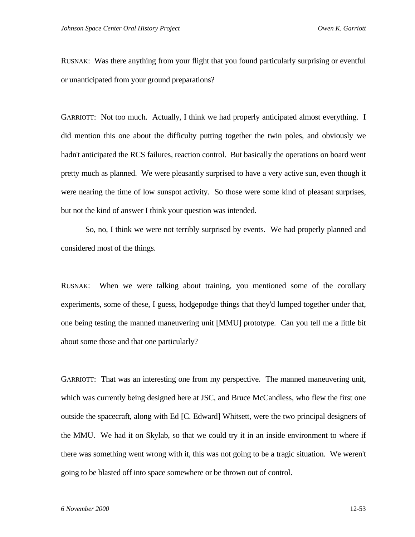RUSNAK: Was there anything from your flight that you found particularly surprising or eventful or unanticipated from your ground preparations?

GARRIOTT: Not too much. Actually, I think we had properly anticipated almost everything. I did mention this one about the difficulty putting together the twin poles, and obviously we hadn't anticipated the RCS failures, reaction control. But basically the operations on board went pretty much as planned. We were pleasantly surprised to have a very active sun, even though it were nearing the time of low sunspot activity. So those were some kind of pleasant surprises, but not the kind of answer I think your question was intended.

So, no, I think we were not terribly surprised by events. We had properly planned and considered most of the things.

RUSNAK: When we were talking about training, you mentioned some of the corollary experiments, some of these, I guess, hodgepodge things that they'd lumped together under that, one being testing the manned maneuvering unit [MMU] prototype. Can you tell me a little bit about some those and that one particularly?

GARRIOTT: That was an interesting one from my perspective. The manned maneuvering unit, which was currently being designed here at JSC, and Bruce McCandless, who flew the first one outside the spacecraft, along with Ed [C. Edward] Whitsett, were the two principal designers of the MMU. We had it on Skylab, so that we could try it in an inside environment to where if there was something went wrong with it, this was not going to be a tragic situation. We weren't going to be blasted off into space somewhere or be thrown out of control.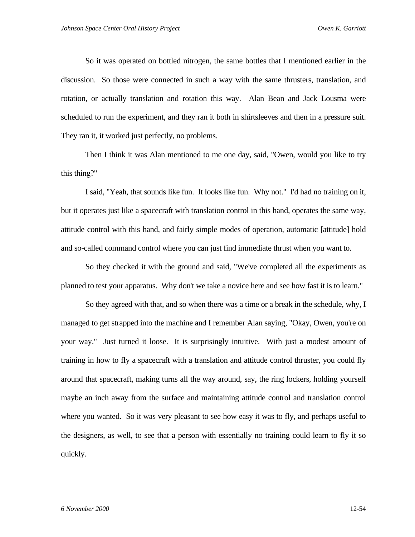So it was operated on bottled nitrogen, the same bottles that I mentioned earlier in the discussion. So those were connected in such a way with the same thrusters, translation, and rotation, or actually translation and rotation this way. Alan Bean and Jack Lousma were scheduled to run the experiment, and they ran it both in shirtsleeves and then in a pressure suit. They ran it, it worked just perfectly, no problems.

Then I think it was Alan mentioned to me one day, said, "Owen, would you like to try this thing?"

I said, "Yeah, that sounds like fun. It looks like fun. Why not." I'd had no training on it, but it operates just like a spacecraft with translation control in this hand, operates the same way, attitude control with this hand, and fairly simple modes of operation, automatic [attitude] hold and so-called command control where you can just find immediate thrust when you want to.

So they checked it with the ground and said, "We've completed all the experiments as planned to test your apparatus. Why don't we take a novice here and see how fast it is to learn."

So they agreed with that, and so when there was a time or a break in the schedule, why, I managed to get strapped into the machine and I remember Alan saying, "Okay, Owen, you're on your way." Just turned it loose. It is surprisingly intuitive. With just a modest amount of training in how to fly a spacecraft with a translation and attitude control thruster, you could fly around that spacecraft, making turns all the way around, say, the ring lockers, holding yourself maybe an inch away from the surface and maintaining attitude control and translation control where you wanted. So it was very pleasant to see how easy it was to fly, and perhaps useful to the designers, as well, to see that a person with essentially no training could learn to fly it so quickly.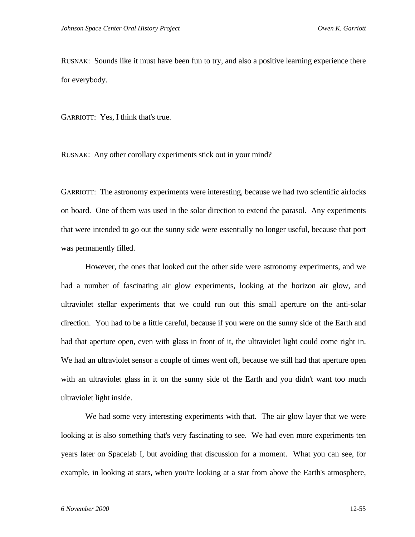RUSNAK: Sounds like it must have been fun to try, and also a positive learning experience there for everybody.

GARRIOTT: Yes, I think that's true.

RUSNAK: Any other corollary experiments stick out in your mind?

GARRIOTT: The astronomy experiments were interesting, because we had two scientific airlocks on board. One of them was used in the solar direction to extend the parasol. Any experiments that were intended to go out the sunny side were essentially no longer useful, because that port was permanently filled.

However, the ones that looked out the other side were astronomy experiments, and we had a number of fascinating air glow experiments, looking at the horizon air glow, and ultraviolet stellar experiments that we could run out this small aperture on the anti-solar direction. You had to be a little careful, because if you were on the sunny side of the Earth and had that aperture open, even with glass in front of it, the ultraviolet light could come right in. We had an ultraviolet sensor a couple of times went off, because we still had that aperture open with an ultraviolet glass in it on the sunny side of the Earth and you didn't want too much ultraviolet light inside.

We had some very interesting experiments with that. The air glow layer that we were looking at is also something that's very fascinating to see. We had even more experiments ten years later on Spacelab I, but avoiding that discussion for a moment. What you can see, for example, in looking at stars, when you're looking at a star from above the Earth's atmosphere,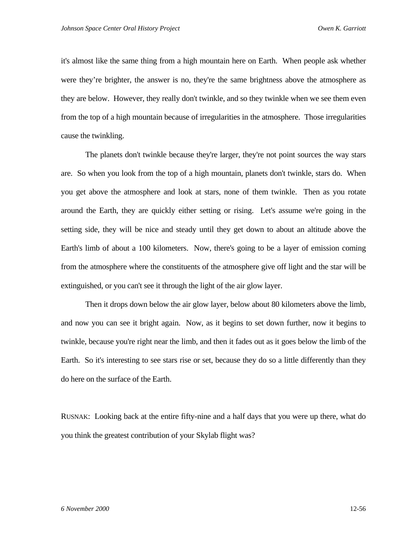it's almost like the same thing from a high mountain here on Earth. When people ask whether were they're brighter, the answer is no, they're the same brightness above the atmosphere as they are below. However, they really don't twinkle, and so they twinkle when we see them even from the top of a high mountain because of irregularities in the atmosphere. Those irregularities cause the twinkling.

The planets don't twinkle because they're larger, they're not point sources the way stars are. So when you look from the top of a high mountain, planets don't twinkle, stars do. When you get above the atmosphere and look at stars, none of them twinkle. Then as you rotate around the Earth, they are quickly either setting or rising. Let's assume we're going in the setting side, they will be nice and steady until they get down to about an altitude above the Earth's limb of about a 100 kilometers. Now, there's going to be a layer of emission coming from the atmosphere where the constituents of the atmosphere give off light and the star will be extinguished, or you can't see it through the light of the air glow layer.

Then it drops down below the air glow layer, below about 80 kilometers above the limb, and now you can see it bright again. Now, as it begins to set down further, now it begins to twinkle, because you're right near the limb, and then it fades out as it goes below the limb of the Earth. So it's interesting to see stars rise or set, because they do so a little differently than they do here on the surface of the Earth.

RUSNAK: Looking back at the entire fifty-nine and a half days that you were up there, what do you think the greatest contribution of your Skylab flight was?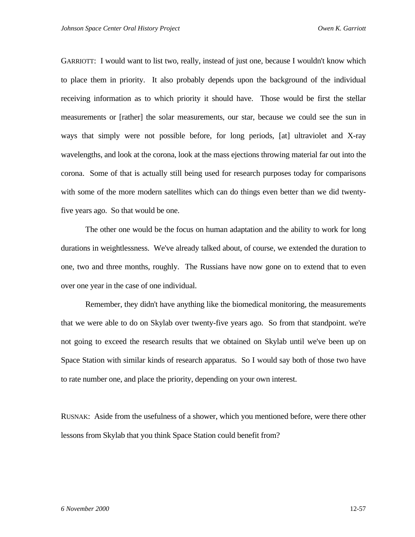GARRIOTT: I would want to list two, really, instead of just one, because I wouldn't know which to place them in priority. It also probably depends upon the background of the individual receiving information as to which priority it should have. Those would be first the stellar measurements or [rather] the solar measurements, our star, because we could see the sun in ways that simply were not possible before, for long periods, [at] ultraviolet and X-ray wavelengths, and look at the corona, look at the mass ejections throwing material far out into the corona. Some of that is actually still being used for research purposes today for comparisons with some of the more modern satellites which can do things even better than we did twentyfive years ago. So that would be one.

The other one would be the focus on human adaptation and the ability to work for long durations in weightlessness. We've already talked about, of course, we extended the duration to one, two and three months, roughly. The Russians have now gone on to extend that to even over one year in the case of one individual.

Remember, they didn't have anything like the biomedical monitoring, the measurements that we were able to do on Skylab over twenty-five years ago. So from that standpoint. we're not going to exceed the research results that we obtained on Skylab until we've been up on Space Station with similar kinds of research apparatus. So I would say both of those two have to rate number one, and place the priority, depending on your own interest.

RUSNAK: Aside from the usefulness of a shower, which you mentioned before, were there other lessons from Skylab that you think Space Station could benefit from?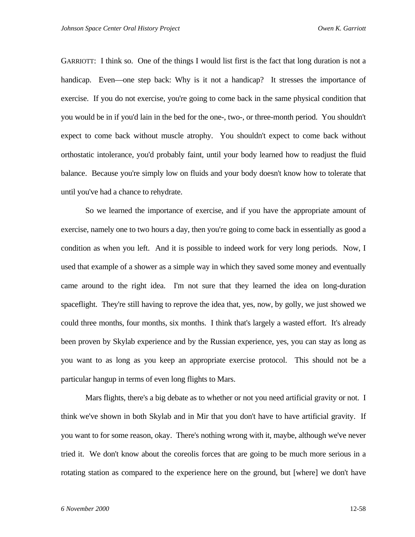GARRIOTT: I think so. One of the things I would list first is the fact that long duration is not a handicap. Even—one step back: Why is it not a handicap? It stresses the importance of exercise. If you do not exercise, you're going to come back in the same physical condition that you would be in if you'd lain in the bed for the one-, two-, or three-month period. You shouldn't expect to come back without muscle atrophy. You shouldn't expect to come back without orthostatic intolerance, you'd probably faint, until your body learned how to readjust the fluid balance. Because you're simply low on fluids and your body doesn't know how to tolerate that until you've had a chance to rehydrate.

So we learned the importance of exercise, and if you have the appropriate amount of exercise, namely one to two hours a day, then you're going to come back in essentially as good a condition as when you left. And it is possible to indeed work for very long periods. Now, I used that example of a shower as a simple way in which they saved some money and eventually came around to the right idea. I'm not sure that they learned the idea on long-duration spaceflight. They're still having to reprove the idea that, yes, now, by golly, we just showed we could three months, four months, six months. I think that's largely a wasted effort. It's already been proven by Skylab experience and by the Russian experience, yes, you can stay as long as you want to as long as you keep an appropriate exercise protocol. This should not be a particular hangup in terms of even long flights to Mars.

Mars flights, there's a big debate as to whether or not you need artificial gravity or not. I think we've shown in both Skylab and in Mir that you don't have to have artificial gravity. If you want to for some reason, okay. There's nothing wrong with it, maybe, although we've never tried it. We don't know about the coreolis forces that are going to be much more serious in a rotating station as compared to the experience here on the ground, but [where] we don't have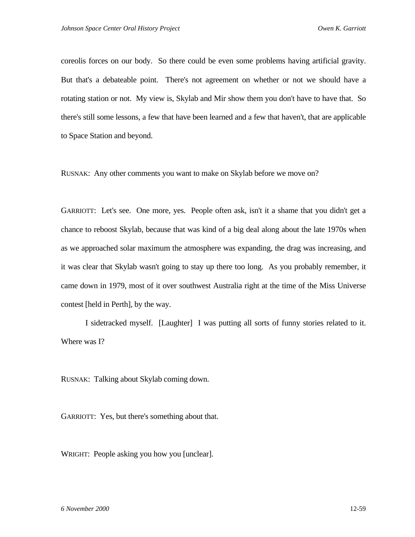coreolis forces on our body. So there could be even some problems having artificial gravity. But that's a debateable point. There's not agreement on whether or not we should have a rotating station or not. My view is, Skylab and Mir show them you don't have to have that. So there's still some lessons, a few that have been learned and a few that haven't, that are applicable to Space Station and beyond.

RUSNAK: Any other comments you want to make on Skylab before we move on?

GARRIOTT: Let's see. One more, yes. People often ask, isn't it a shame that you didn't get a chance to reboost Skylab, because that was kind of a big deal along about the late 1970s when as we approached solar maximum the atmosphere was expanding, the drag was increasing, and it was clear that Skylab wasn't going to stay up there too long. As you probably remember, it came down in 1979, most of it over southwest Australia right at the time of the Miss Universe contest [held in Perth], by the way.

I sidetracked myself. [Laughter] I was putting all sorts of funny stories related to it. Where was I?

RUSNAK: Talking about Skylab coming down.

GARRIOTT: Yes, but there's something about that.

WRIGHT: People asking you how you [unclear].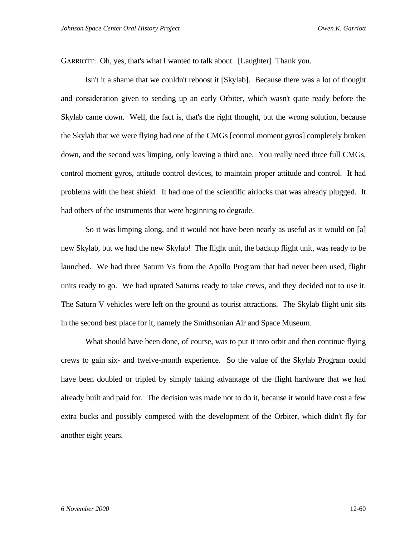GARRIOTT: Oh, yes, that's what I wanted to talk about. [Laughter] Thank you.

Isn't it a shame that we couldn't reboost it [Skylab]. Because there was a lot of thought and consideration given to sending up an early Orbiter, which wasn't quite ready before the Skylab came down. Well, the fact is, that's the right thought, but the wrong solution, because the Skylab that we were flying had one of the CMGs [control moment gyros] completely broken down, and the second was limping, only leaving a third one. You really need three full CMGs, control moment gyros, attitude control devices, to maintain proper attitude and control. It had problems with the heat shield. It had one of the scientific airlocks that was already plugged. It had others of the instruments that were beginning to degrade.

So it was limping along, and it would not have been nearly as useful as it would on [a] new Skylab, but we had the new Skylab! The flight unit, the backup flight unit, was ready to be launched. We had three Saturn Vs from the Apollo Program that had never been used, flight units ready to go. We had uprated Saturns ready to take crews, and they decided not to use it. The Saturn V vehicles were left on the ground as tourist attractions. The Skylab flight unit sits in the second best place for it, namely the Smithsonian Air and Space Museum.

What should have been done, of course, was to put it into orbit and then continue flying crews to gain six- and twelve-month experience. So the value of the Skylab Program could have been doubled or tripled by simply taking advantage of the flight hardware that we had already built and paid for. The decision was made not to do it, because it would have cost a few extra bucks and possibly competed with the development of the Orbiter, which didn't fly for another eight years.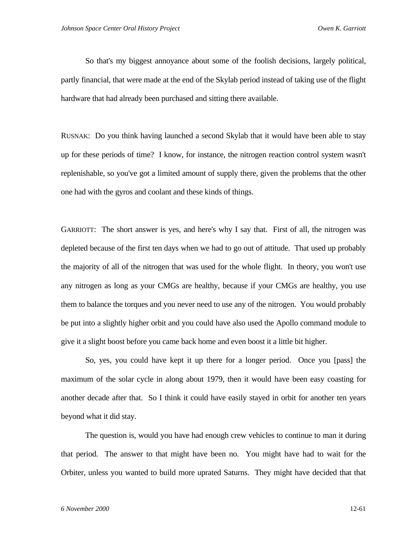So that's my biggest annoyance about some of the foolish decisions, largely political, partly financial, that were made at the end of the Skylab period instead of taking use of the flight hardware that had already been purchased and sitting there available.

RUSNAK: Do you think having launched a second Skylab that it would have been able to stay up for these periods of time? I know, for instance, the nitrogen reaction control system wasn't replenishable, so you've got a limited amount of supply there, given the problems that the other one had with the gyros and coolant and these kinds of things.

GARRIOTT: The short answer is yes, and here's why I say that. First of all, the nitrogen was depleted because of the first ten days when we had to go out of attitude. That used up probably the majority of all of the nitrogen that was used for the whole flight. In theory, you won't use any nitrogen as long as your CMGs are healthy, because if your CMGs are healthy, you use them to balance the torques and you never need to use any of the nitrogen. You would probably be put into a slightly higher orbit and you could have also used the Apollo command module to give it a slight boost before you came back home and even boost it a little bit higher.

So, yes, you could have kept it up there for a longer period. Once you [pass] the maximum of the solar cycle in along about 1979, then it would have been easy coasting for another decade after that. So I think it could have easily stayed in orbit for another ten years beyond what it did stay.

The question is, would you have had enough crew vehicles to continue to man it during that period. The answer to that might have been no. You might have had to wait for the Orbiter, unless you wanted to build more uprated Saturns. They might have decided that that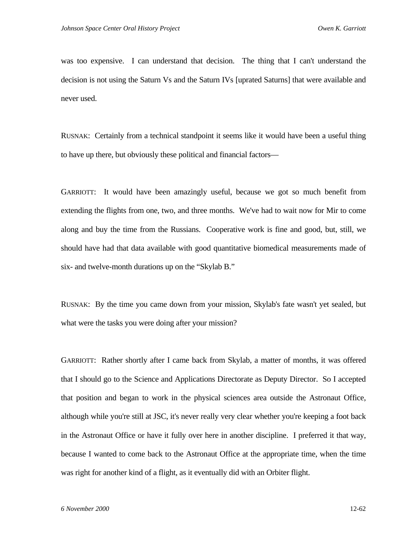was too expensive. I can understand that decision. The thing that I can't understand the decision is not using the Saturn Vs and the Saturn IVs [uprated Saturns] that were available and never used.

RUSNAK: Certainly from a technical standpoint it seems like it would have been a useful thing to have up there, but obviously these political and financial factors—

GARRIOTT: It would have been amazingly useful, because we got so much benefit from extending the flights from one, two, and three months. We've had to wait now for Mir to come along and buy the time from the Russians. Cooperative work is fine and good, but, still, we should have had that data available with good quantitative biomedical measurements made of six- and twelve-month durations up on the "Skylab B."

RUSNAK: By the time you came down from your mission, Skylab's fate wasn't yet sealed, but what were the tasks you were doing after your mission?

GARRIOTT: Rather shortly after I came back from Skylab, a matter of months, it was offered that I should go to the Science and Applications Directorate as Deputy Director. So I accepted that position and began to work in the physical sciences area outside the Astronaut Office, although while you're still at JSC, it's never really very clear whether you're keeping a foot back in the Astronaut Office or have it fully over here in another discipline. I preferred it that way, because I wanted to come back to the Astronaut Office at the appropriate time, when the time was right for another kind of a flight, as it eventually did with an Orbiter flight.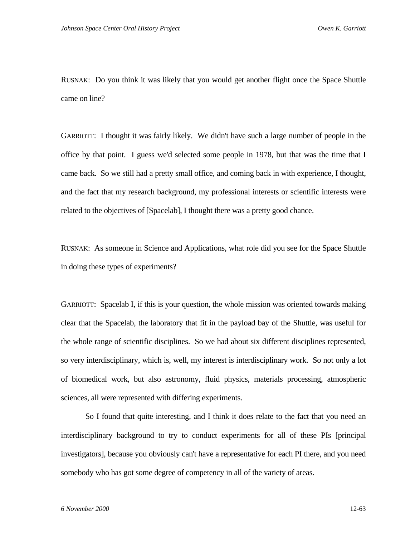RUSNAK: Do you think it was likely that you would get another flight once the Space Shuttle came on line?

GARRIOTT: I thought it was fairly likely. We didn't have such a large number of people in the office by that point. I guess we'd selected some people in 1978, but that was the time that I came back. So we still had a pretty small office, and coming back in with experience, I thought, and the fact that my research background, my professional interests or scientific interests were related to the objectives of [Spacelab], I thought there was a pretty good chance.

RUSNAK: As someone in Science and Applications, what role did you see for the Space Shuttle in doing these types of experiments?

GARRIOTT: Spacelab I, if this is your question, the whole mission was oriented towards making clear that the Spacelab, the laboratory that fit in the payload bay of the Shuttle, was useful for the whole range of scientific disciplines. So we had about six different disciplines represented, so very interdisciplinary, which is, well, my interest is interdisciplinary work. So not only a lot of biomedical work, but also astronomy, fluid physics, materials processing, atmospheric sciences, all were represented with differing experiments.

So I found that quite interesting, and I think it does relate to the fact that you need an interdisciplinary background to try to conduct experiments for all of these PIs [principal investigators], because you obviously can't have a representative for each PI there, and you need somebody who has got some degree of competency in all of the variety of areas.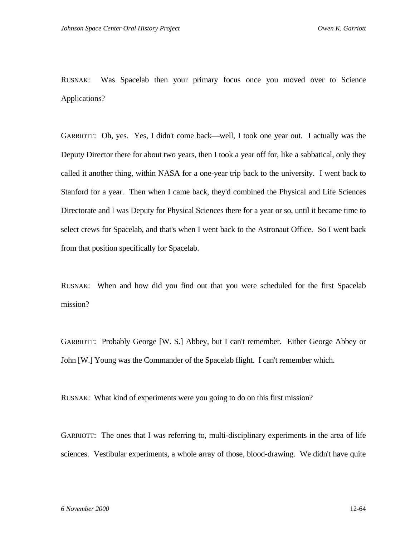RUSNAK: Was Spacelab then your primary focus once you moved over to Science Applications?

GARRIOTT: Oh, yes. Yes, I didn't come back—well, I took one year out. I actually was the Deputy Director there for about two years, then I took a year off for, like a sabbatical, only they called it another thing, within NASA for a one-year trip back to the university. I went back to Stanford for a year. Then when I came back, they'd combined the Physical and Life Sciences Directorate and I was Deputy for Physical Sciences there for a year or so, until it became time to select crews for Spacelab, and that's when I went back to the Astronaut Office. So I went back from that position specifically for Spacelab.

RUSNAK: When and how did you find out that you were scheduled for the first Spacelab mission?

GARRIOTT: Probably George [W. S.] Abbey, but I can't remember. Either George Abbey or John [W.] Young was the Commander of the Spacelab flight. I can't remember which.

RUSNAK: What kind of experiments were you going to do on this first mission?

GARRIOTT: The ones that I was referring to, multi-disciplinary experiments in the area of life sciences. Vestibular experiments, a whole array of those, blood-drawing. We didn't have quite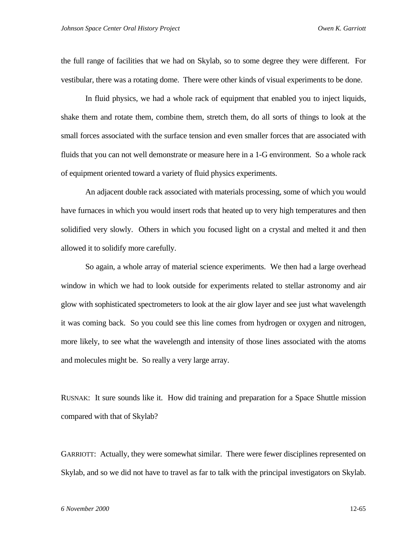the full range of facilities that we had on Skylab, so to some degree they were different. For vestibular, there was a rotating dome. There were other kinds of visual experiments to be done.

In fluid physics, we had a whole rack of equipment that enabled you to inject liquids, shake them and rotate them, combine them, stretch them, do all sorts of things to look at the small forces associated with the surface tension and even smaller forces that are associated with fluids that you can not well demonstrate or measure here in a 1-G environment. So a whole rack of equipment oriented toward a variety of fluid physics experiments.

An adjacent double rack associated with materials processing, some of which you would have furnaces in which you would insert rods that heated up to very high temperatures and then solidified very slowly. Others in which you focused light on a crystal and melted it and then allowed it to solidify more carefully.

So again, a whole array of material science experiments. We then had a large overhead window in which we had to look outside for experiments related to stellar astronomy and air glow with sophisticated spectrometers to look at the air glow layer and see just what wavelength it was coming back. So you could see this line comes from hydrogen or oxygen and nitrogen, more likely, to see what the wavelength and intensity of those lines associated with the atoms and molecules might be. So really a very large array.

RUSNAK: It sure sounds like it. How did training and preparation for a Space Shuttle mission compared with that of Skylab?

GARRIOTT: Actually, they were somewhat similar. There were fewer disciplines represented on Skylab, and so we did not have to travel as far to talk with the principal investigators on Skylab.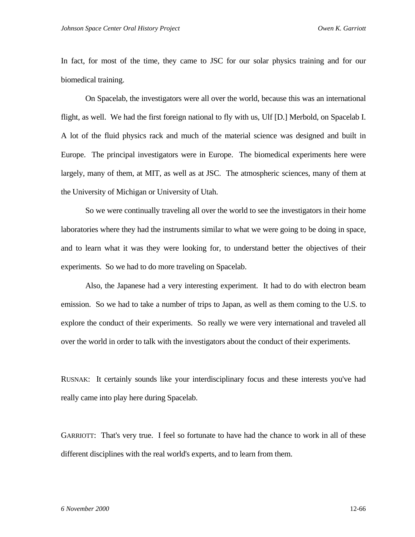In fact, for most of the time, they came to JSC for our solar physics training and for our biomedical training.

On Spacelab, the investigators were all over the world, because this was an international flight, as well. We had the first foreign national to fly with us, Ulf [D.] Merbold, on Spacelab I. A lot of the fluid physics rack and much of the material science was designed and built in Europe. The principal investigators were in Europe. The biomedical experiments here were largely, many of them, at MIT, as well as at JSC. The atmospheric sciences, many of them at the University of Michigan or University of Utah.

So we were continually traveling all over the world to see the investigators in their home laboratories where they had the instruments similar to what we were going to be doing in space, and to learn what it was they were looking for, to understand better the objectives of their experiments. So we had to do more traveling on Spacelab.

Also, the Japanese had a very interesting experiment. It had to do with electron beam emission. So we had to take a number of trips to Japan, as well as them coming to the U.S. to explore the conduct of their experiments. So really we were very international and traveled all over the world in order to talk with the investigators about the conduct of their experiments.

RUSNAK: It certainly sounds like your interdisciplinary focus and these interests you've had really came into play here during Spacelab.

GARRIOTT: That's very true. I feel so fortunate to have had the chance to work in all of these different disciplines with the real world's experts, and to learn from them.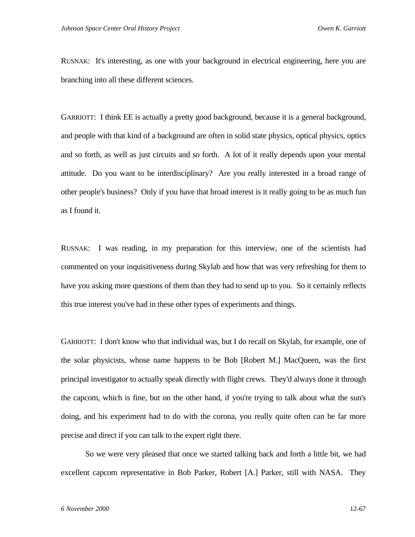RUSNAK: It's interesting, as one with your background in electrical engineering, here you are branching into all these different sciences.

GARRIOTT: I think EE is actually a pretty good background, because it is a general background, and people with that kind of a background are often in solid state physics, optical physics, optics and so forth, as well as just circuits and so forth. A lot of it really depends upon your mental attitude. Do you want to be interdisciplinary? Are you really interested in a broad range of other people's business? Only if you have that broad interest is it really going to be as much fun as I found it.

RUSNAK: I was reading, in my preparation for this interview, one of the scientists had commented on your inquisitiveness during Skylab and how that was very refreshing for them to have you asking more questions of them than they had to send up to you. So it certainly reflects this true interest you've had in these other types of experiments and things.

GARRIOTT: I don't know who that individual was, but I do recall on Skylab, for example, one of the solar physicists, whose name happens to be Bob [Robert M.] MacQueen, was the first principal investigator to actually speak directly with flight crews. They'd always done it through the capcom, which is fine, but on the other hand, if you're trying to talk about what the sun's doing, and his experiment had to do with the corona, you really quite often can be far more precise and direct if you can talk to the expert right there.

So we were very pleased that once we started talking back and forth a little bit, we had excellent capcom representative in Bob Parker, Robert [A.] Parker, still with NASA. They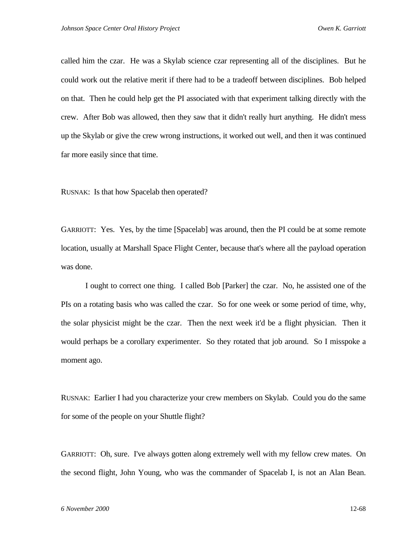called him the czar. He was a Skylab science czar representing all of the disciplines. But he could work out the relative merit if there had to be a tradeoff between disciplines. Bob helped on that. Then he could help get the PI associated with that experiment talking directly with the crew. After Bob was allowed, then they saw that it didn't really hurt anything. He didn't mess up the Skylab or give the crew wrong instructions, it worked out well, and then it was continued far more easily since that time.

RUSNAK: Is that how Spacelab then operated?

GARRIOTT: Yes. Yes, by the time [Spacelab] was around, then the PI could be at some remote location, usually at Marshall Space Flight Center, because that's where all the payload operation was done.

I ought to correct one thing. I called Bob [Parker] the czar. No, he assisted one of the PIs on a rotating basis who was called the czar. So for one week or some period of time, why, the solar physicist might be the czar. Then the next week it'd be a flight physician. Then it would perhaps be a corollary experimenter. So they rotated that job around. So I misspoke a moment ago.

RUSNAK: Earlier I had you characterize your crew members on Skylab. Could you do the same for some of the people on your Shuttle flight?

GARRIOTT: Oh, sure. I've always gotten along extremely well with my fellow crew mates. On the second flight, John Young, who was the commander of Spacelab I, is not an Alan Bean.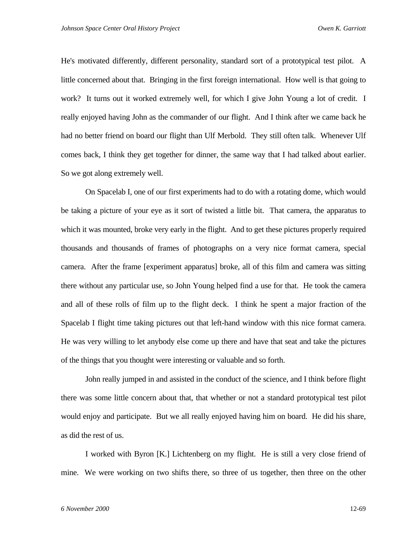He's motivated differently, different personality, standard sort of a prototypical test pilot. A little concerned about that. Bringing in the first foreign international. How well is that going to work? It turns out it worked extremely well, for which I give John Young a lot of credit. I really enjoyed having John as the commander of our flight. And I think after we came back he had no better friend on board our flight than Ulf Merbold. They still often talk. Whenever Ulf comes back, I think they get together for dinner, the same way that I had talked about earlier. So we got along extremely well.

On Spacelab I, one of our first experiments had to do with a rotating dome, which would be taking a picture of your eye as it sort of twisted a little bit. That camera, the apparatus to which it was mounted, broke very early in the flight. And to get these pictures properly required thousands and thousands of frames of photographs on a very nice format camera, special camera. After the frame [experiment apparatus] broke, all of this film and camera was sitting there without any particular use, so John Young helped find a use for that. He took the camera and all of these rolls of film up to the flight deck. I think he spent a major fraction of the Spacelab I flight time taking pictures out that left-hand window with this nice format camera. He was very willing to let anybody else come up there and have that seat and take the pictures of the things that you thought were interesting or valuable and so forth.

John really jumped in and assisted in the conduct of the science, and I think before flight there was some little concern about that, that whether or not a standard prototypical test pilot would enjoy and participate. But we all really enjoyed having him on board. He did his share, as did the rest of us.

I worked with Byron [K.] Lichtenberg on my flight. He is still a very close friend of mine. We were working on two shifts there, so three of us together, then three on the other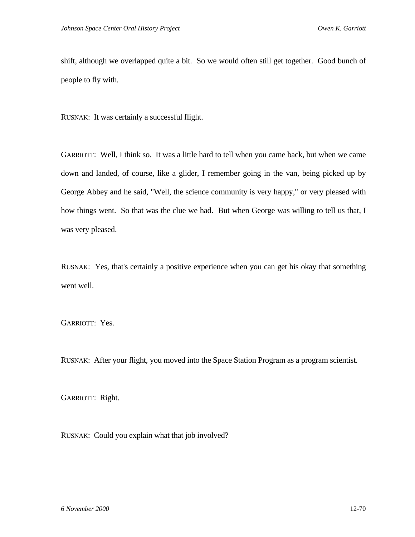shift, although we overlapped quite a bit. So we would often still get together. Good bunch of people to fly with.

RUSNAK: It was certainly a successful flight.

GARRIOTT: Well, I think so. It was a little hard to tell when you came back, but when we came down and landed, of course, like a glider, I remember going in the van, being picked up by George Abbey and he said, "Well, the science community is very happy," or very pleased with how things went. So that was the clue we had. But when George was willing to tell us that, I was very pleased.

RUSNAK: Yes, that's certainly a positive experience when you can get his okay that something went well.

GARRIOTT: Yes.

RUSNAK: After your flight, you moved into the Space Station Program as a program scientist.

GARRIOTT: Right.

RUSNAK: Could you explain what that job involved?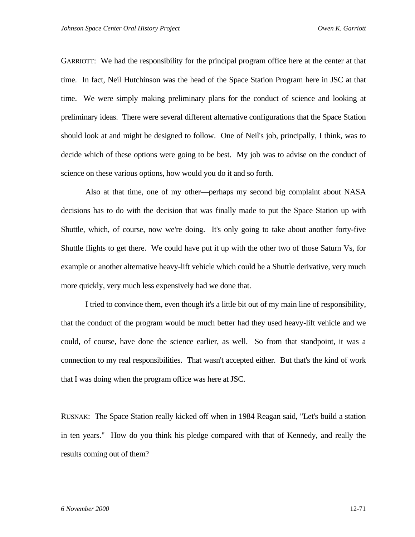GARRIOTT: We had the responsibility for the principal program office here at the center at that time. In fact, Neil Hutchinson was the head of the Space Station Program here in JSC at that time. We were simply making preliminary plans for the conduct of science and looking at preliminary ideas. There were several different alternative configurations that the Space Station should look at and might be designed to follow. One of Neil's job, principally, I think, was to decide which of these options were going to be best. My job was to advise on the conduct of science on these various options, how would you do it and so forth.

Also at that time, one of my other—perhaps my second big complaint about NASA decisions has to do with the decision that was finally made to put the Space Station up with Shuttle, which, of course, now we're doing. It's only going to take about another forty-five Shuttle flights to get there. We could have put it up with the other two of those Saturn Vs, for example or another alternative heavy-lift vehicle which could be a Shuttle derivative, very much more quickly, very much less expensively had we done that.

I tried to convince them, even though it's a little bit out of my main line of responsibility, that the conduct of the program would be much better had they used heavy-lift vehicle and we could, of course, have done the science earlier, as well. So from that standpoint, it was a connection to my real responsibilities. That wasn't accepted either. But that's the kind of work that I was doing when the program office was here at JSC.

RUSNAK: The Space Station really kicked off when in 1984 Reagan said, "Let's build a station in ten years." How do you think his pledge compared with that of Kennedy, and really the results coming out of them?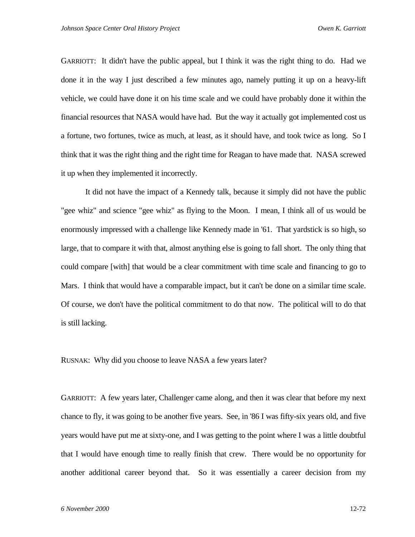GARRIOTT: It didn't have the public appeal, but I think it was the right thing to do. Had we done it in the way I just described a few minutes ago, namely putting it up on a heavy-lift vehicle, we could have done it on his time scale and we could have probably done it within the financial resources that NASA would have had. But the way it actually got implemented cost us a fortune, two fortunes, twice as much, at least, as it should have, and took twice as long. So I think that it was the right thing and the right time for Reagan to have made that. NASA screwed it up when they implemented it incorrectly.

It did not have the impact of a Kennedy talk, because it simply did not have the public "gee whiz" and science "gee whiz" as flying to the Moon. I mean, I think all of us would be enormously impressed with a challenge like Kennedy made in '61. That yardstick is so high, so large, that to compare it with that, almost anything else is going to fall short. The only thing that could compare [with] that would be a clear commitment with time scale and financing to go to Mars. I think that would have a comparable impact, but it can't be done on a similar time scale. Of course, we don't have the political commitment to do that now. The political will to do that is still lacking.

RUSNAK: Why did you choose to leave NASA a few years later?

GARRIOTT: A few years later, Challenger came along, and then it was clear that before my next chance to fly, it was going to be another five years. See, in '86 I was fifty-six years old, and five years would have put me at sixty-one, and I was getting to the point where I was a little doubtful that I would have enough time to really finish that crew. There would be no opportunity for another additional career beyond that. So it was essentially a career decision from my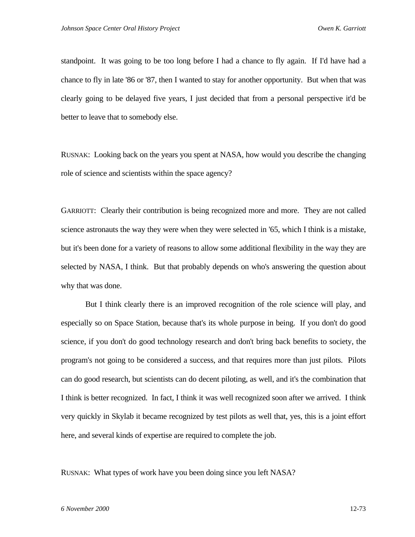standpoint. It was going to be too long before I had a chance to fly again. If I'd have had a chance to fly in late '86 or '87, then I wanted to stay for another opportunity. But when that was clearly going to be delayed five years, I just decided that from a personal perspective it'd be better to leave that to somebody else.

RUSNAK: Looking back on the years you spent at NASA, how would you describe the changing role of science and scientists within the space agency?

GARRIOTT: Clearly their contribution is being recognized more and more. They are not called science astronauts the way they were when they were selected in '65, which I think is a mistake, but it's been done for a variety of reasons to allow some additional flexibility in the way they are selected by NASA, I think. But that probably depends on who's answering the question about why that was done.

But I think clearly there is an improved recognition of the role science will play, and especially so on Space Station, because that's its whole purpose in being. If you don't do good science, if you don't do good technology research and don't bring back benefits to society, the program's not going to be considered a success, and that requires more than just pilots. Pilots can do good research, but scientists can do decent piloting, as well, and it's the combination that I think is better recognized. In fact, I think it was well recognized soon after we arrived. I think very quickly in Skylab it became recognized by test pilots as well that, yes, this is a joint effort here, and several kinds of expertise are required to complete the job.

RUSNAK: What types of work have you been doing since you left NASA?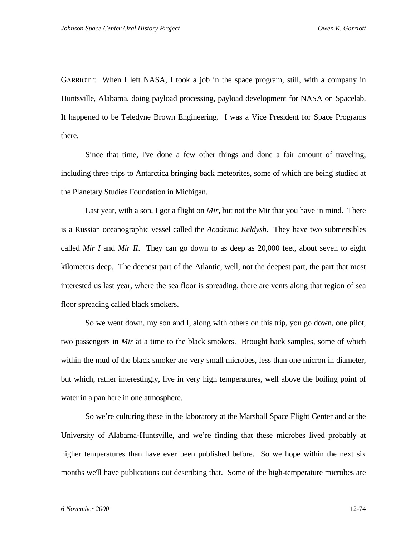GARRIOTT: When I left NASA, I took a job in the space program, still, with a company in Huntsville, Alabama, doing payload processing, payload development for NASA on Spacelab. It happened to be Teledyne Brown Engineering. I was a Vice President for Space Programs there.

Since that time, I've done a few other things and done a fair amount of traveling, including three trips to Antarctica bringing back meteorites, some of which are being studied at the Planetary Studies Foundation in Michigan.

Last year, with a son, I got a flight on *Mir*, but not the Mir that you have in mind. There is a Russian oceanographic vessel called the *Academic Keldysh*. They have two submersibles called *Mir I* and *Mir II*. They can go down to as deep as 20,000 feet, about seven to eight kilometers deep. The deepest part of the Atlantic, well, not the deepest part, the part that most interested us last year, where the sea floor is spreading, there are vents along that region of sea floor spreading called black smokers.

So we went down, my son and I, along with others on this trip, you go down, one pilot, two passengers in *Mir* at a time to the black smokers. Brought back samples, some of which within the mud of the black smoker are very small microbes, less than one micron in diameter, but which, rather interestingly, live in very high temperatures, well above the boiling point of water in a pan here in one atmosphere.

So we're culturing these in the laboratory at the Marshall Space Flight Center and at the University of Alabama-Huntsville, and we're finding that these microbes lived probably at higher temperatures than have ever been published before. So we hope within the next six months we'll have publications out describing that. Some of the high-temperature microbes are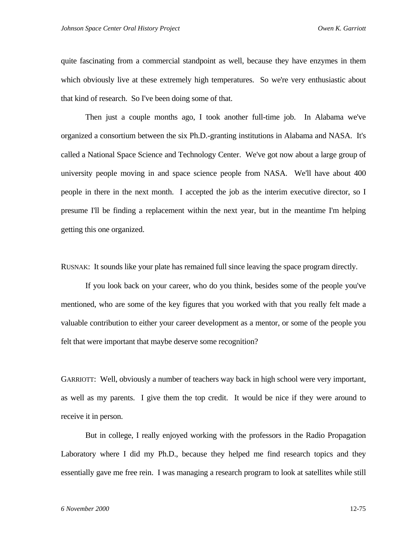quite fascinating from a commercial standpoint as well, because they have enzymes in them which obviously live at these extremely high temperatures. So we're very enthusiastic about that kind of research. So I've been doing some of that.

Then just a couple months ago, I took another full-time job. In Alabama we've organized a consortium between the six Ph.D.-granting institutions in Alabama and NASA. It's called a National Space Science and Technology Center. We've got now about a large group of university people moving in and space science people from NASA. We'll have about 400 people in there in the next month. I accepted the job as the interim executive director, so I presume I'll be finding a replacement within the next year, but in the meantime I'm helping getting this one organized.

RUSNAK: It sounds like your plate has remained full since leaving the space program directly.

If you look back on your career, who do you think, besides some of the people you've mentioned, who are some of the key figures that you worked with that you really felt made a valuable contribution to either your career development as a mentor, or some of the people you felt that were important that maybe deserve some recognition?

GARRIOTT: Well, obviously a number of teachers way back in high school were very important, as well as my parents. I give them the top credit. It would be nice if they were around to receive it in person.

But in college, I really enjoyed working with the professors in the Radio Propagation Laboratory where I did my Ph.D., because they helped me find research topics and they essentially gave me free rein. I was managing a research program to look at satellites while still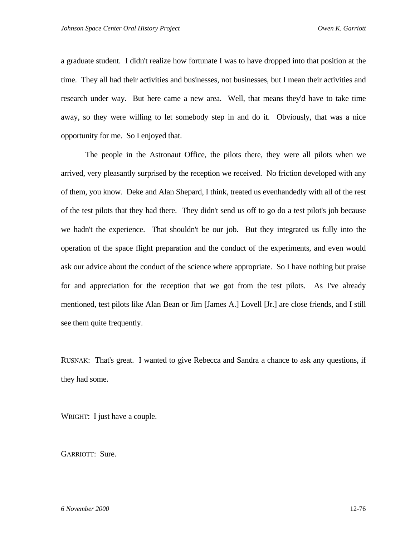a graduate student. I didn't realize how fortunate I was to have dropped into that position at the time. They all had their activities and businesses, not businesses, but I mean their activities and research under way. But here came a new area. Well, that means they'd have to take time away, so they were willing to let somebody step in and do it. Obviously, that was a nice opportunity for me. So I enjoyed that.

The people in the Astronaut Office, the pilots there, they were all pilots when we arrived, very pleasantly surprised by the reception we received. No friction developed with any of them, you know. Deke and Alan Shepard, I think, treated us evenhandedly with all of the rest of the test pilots that they had there. They didn't send us off to go do a test pilot's job because we hadn't the experience. That shouldn't be our job. But they integrated us fully into the operation of the space flight preparation and the conduct of the experiments, and even would ask our advice about the conduct of the science where appropriate. So I have nothing but praise for and appreciation for the reception that we got from the test pilots. As I've already mentioned, test pilots like Alan Bean or Jim [James A.] Lovell [Jr.] are close friends, and I still see them quite frequently.

RUSNAK: That's great. I wanted to give Rebecca and Sandra a chance to ask any questions, if they had some.

WRIGHT: I just have a couple.

GARRIOTT: Sure.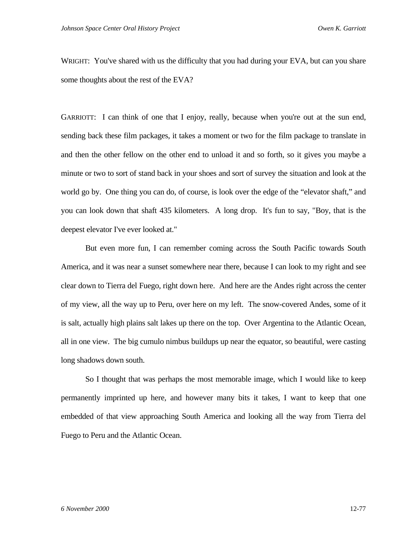WRIGHT: You've shared with us the difficulty that you had during your EVA, but can you share some thoughts about the rest of the EVA?

GARRIOTT: I can think of one that I enjoy, really, because when you're out at the sun end, sending back these film packages, it takes a moment or two for the film package to translate in and then the other fellow on the other end to unload it and so forth, so it gives you maybe a minute or two to sort of stand back in your shoes and sort of survey the situation and look at the world go by. One thing you can do, of course, is look over the edge of the "elevator shaft," and you can look down that shaft 435 kilometers. A long drop. It's fun to say, "Boy, that is the deepest elevator I've ever looked at."

But even more fun, I can remember coming across the South Pacific towards South America, and it was near a sunset somewhere near there, because I can look to my right and see clear down to Tierra del Fuego, right down here. And here are the Andes right across the center of my view, all the way up to Peru, over here on my left. The snow-covered Andes, some of it is salt, actually high plains salt lakes up there on the top. Over Argentina to the Atlantic Ocean, all in one view. The big cumulo nimbus buildups up near the equator, so beautiful, were casting long shadows down south.

So I thought that was perhaps the most memorable image, which I would like to keep permanently imprinted up here, and however many bits it takes, I want to keep that one embedded of that view approaching South America and looking all the way from Tierra del Fuego to Peru and the Atlantic Ocean.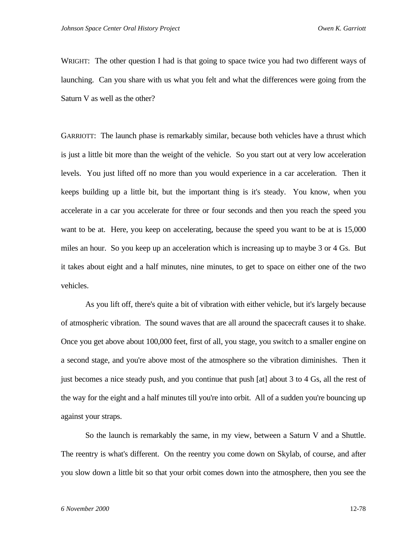WRIGHT: The other question I had is that going to space twice you had two different ways of launching. Can you share with us what you felt and what the differences were going from the Saturn V as well as the other?

GARRIOTT: The launch phase is remarkably similar, because both vehicles have a thrust which is just a little bit more than the weight of the vehicle. So you start out at very low acceleration levels. You just lifted off no more than you would experience in a car acceleration. Then it keeps building up a little bit, but the important thing is it's steady. You know, when you accelerate in a car you accelerate for three or four seconds and then you reach the speed you want to be at. Here, you keep on accelerating, because the speed you want to be at is 15,000 miles an hour. So you keep up an acceleration which is increasing up to maybe 3 or 4 Gs. But it takes about eight and a half minutes, nine minutes, to get to space on either one of the two vehicles.

As you lift off, there's quite a bit of vibration with either vehicle, but it's largely because of atmospheric vibration. The sound waves that are all around the spacecraft causes it to shake. Once you get above about 100,000 feet, first of all, you stage, you switch to a smaller engine on a second stage, and you're above most of the atmosphere so the vibration diminishes. Then it just becomes a nice steady push, and you continue that push [at] about 3 to 4 Gs, all the rest of the way for the eight and a half minutes till you're into orbit. All of a sudden you're bouncing up against your straps.

So the launch is remarkably the same, in my view, between a Saturn V and a Shuttle. The reentry is what's different. On the reentry you come down on Skylab, of course, and after you slow down a little bit so that your orbit comes down into the atmosphere, then you see the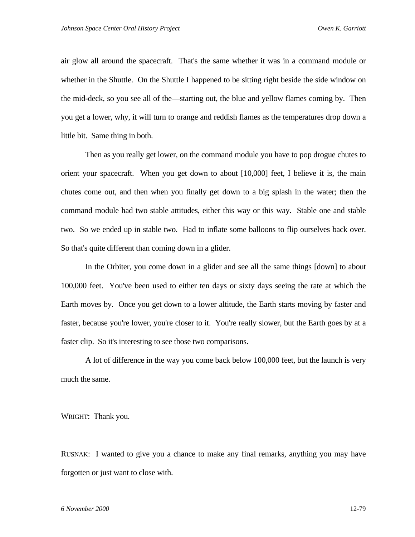air glow all around the spacecraft. That's the same whether it was in a command module or whether in the Shuttle. On the Shuttle I happened to be sitting right beside the side window on the mid-deck, so you see all of the—starting out, the blue and yellow flames coming by. Then you get a lower, why, it will turn to orange and reddish flames as the temperatures drop down a little bit. Same thing in both.

Then as you really get lower, on the command module you have to pop drogue chutes to orient your spacecraft. When you get down to about [10,000] feet, I believe it is, the main chutes come out, and then when you finally get down to a big splash in the water; then the command module had two stable attitudes, either this way or this way. Stable one and stable two. So we ended up in stable two. Had to inflate some balloons to flip ourselves back over. So that's quite different than coming down in a glider.

In the Orbiter, you come down in a glider and see all the same things [down] to about 100,000 feet. You've been used to either ten days or sixty days seeing the rate at which the Earth moves by. Once you get down to a lower altitude, the Earth starts moving by faster and faster, because you're lower, you're closer to it. You're really slower, but the Earth goes by at a faster clip. So it's interesting to see those two comparisons.

A lot of difference in the way you come back below 100,000 feet, but the launch is very much the same.

WRIGHT: Thank you.

RUSNAK: I wanted to give you a chance to make any final remarks, anything you may have forgotten or just want to close with.